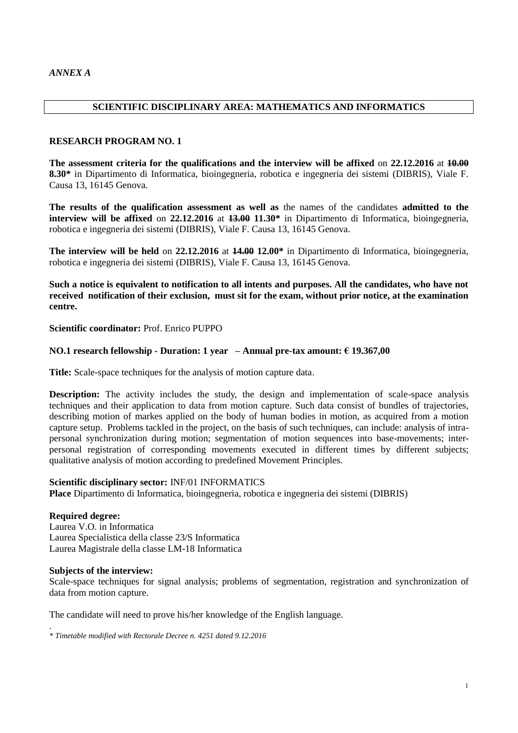### **SCIENTIFIC DISCIPLINARY AREA: MATHEMATICS AND INFORMATICS**

### **RESEARCH PROGRAM NO. 1**

**The assessment criteria for the qualifications and the interview will be affixed** on **22.12.2016** at **10.00 8.30\*** in Dipartimento di Informatica, bioingegneria, robotica e ingegneria dei sistemi (DIBRIS), Viale F. Causa 13, 16145 Genova.

**The results of the qualification assessment as well as** the names of the candidates **admitted to the interview will be affixed** on **22.12.2016** at **13.00 11.30\*** in Dipartimento di Informatica, bioingegneria, robotica e ingegneria dei sistemi (DIBRIS), Viale F. Causa 13, 16145 Genova.

**The interview will be held** on **22.12.2016** at **14.00 12.00\*** in Dipartimento di Informatica, bioingegneria, robotica e ingegneria dei sistemi (DIBRIS), Viale F. Causa 13, 16145 Genova.

**Such a notice is equivalent to notification to all intents and purposes. All the candidates, who have not received notification of their exclusion, must sit for the exam, without prior notice, at the examination centre.**

**Scientific coordinator:** Prof. Enrico PUPPO

### **NO.1 research fellowship - Duration: 1 year – Annual pre-tax amount: € 19.367,00**

**Title:** Scale-space techniques for the analysis of motion capture data.

**Description:** The activity includes the study, the design and implementation of scale-space analysis techniques and their application to data from motion capture. Such data consist of bundles of trajectories, describing motion of markes applied on the body of human bodies in motion, as acquired from a motion capture setup. Problems tackled in the project, on the basis of such techniques, can include: analysis of intrapersonal synchronization during motion; segmentation of motion sequences into base-movements; interpersonal registration of corresponding movements executed in different times by different subjects; qualitative analysis of motion according to predefined Movement Principles.

### **Scientific disciplinary sector:** INF/01 INFORMATICS

**Place** Dipartimento di Informatica, bioingegneria, robotica e ingegneria dei sistemi (DIBRIS)

### **Required degree:**

Laurea V.O. in Informatica Laurea Specialistica della classe 23/S Informatica Laurea Magistrale della classe LM-18 Informatica

### **Subjects of the interview:**

Scale-space techniques for signal analysis; problems of segmentation, registration and synchronization of data from motion capture.

The candidate will need to prove his/her knowledge of the English language.

. *\* Timetable modified with Rectorale Decree n. 4251 dated 9.12.2016*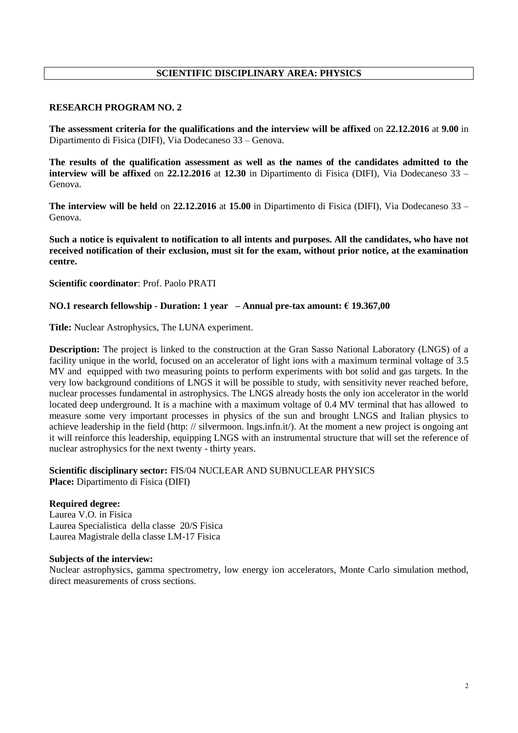# **SCIENTIFIC DISCIPLINARY AREA: PHYSICS**

### **RESEARCH PROGRAM NO. 2**

**The assessment criteria for the qualifications and the interview will be affixed** on **22.12.2016** at **9.00** in Dipartimento di Fisica (DIFI), Via Dodecaneso 33 – Genova.

**The results of the qualification assessment as well as the names of the candidates admitted to the interview will be affixed** on **22.12.2016** at **12.30** in Dipartimento di Fisica (DIFI), Via Dodecaneso 33 – Genova.

**The interview will be held** on **22.12.2016** at **15.00** in Dipartimento di Fisica (DIFI), Via Dodecaneso 33 – Genova.

**Such a notice is equivalent to notification to all intents and purposes. All the candidates, who have not received notification of their exclusion, must sit for the exam, without prior notice, at the examination centre.**

**Scientific coordinator**: Prof. Paolo PRATI

### **NO.1 research fellowship - Duration: 1 year – Annual pre-tax amount: € 19.367,00**

**Title:** Nuclear Astrophysics, The LUNA experiment.

**Description:** The project is linked to the construction at the Gran Sasso National Laboratory (LNGS) of a facility unique in the world, focused on an accelerator of light ions with a maximum terminal voltage of 3.5 MV and equipped with two measuring points to perform experiments with bot solid and gas targets. In the very low background conditions of LNGS it will be possible to study, with sensitivity never reached before, nuclear processes fundamental in astrophysics. The LNGS already hosts the only ion accelerator in the world located deep underground. It is a machine with a maximum voltage of 0.4 MV terminal that has allowed to measure some very important processes in physics of the sun and brought LNGS and Italian physics to achieve leadership in the field (http: // silvermoon. lngs.infn.it/). At the moment a new project is ongoing ant it will reinforce this leadership, equipping LNGS with an instrumental structure that will set the reference of nuclear astrophysics for the next twenty - thirty years.

### **Scientific disciplinary sector:** FIS/04 NUCLEAR AND SUBNUCLEAR PHYSICS **Place:** Dipartimento di Fisica (DIFI)

### **Required degree:**

Laurea V.O. in Fisica Laurea Specialistica della classe 20/S Fisica Laurea Magistrale della classe LM-17 Fisica

### **Subjects of the interview:**

Nuclear astrophysics, gamma spectrometry, low energy ion accelerators, Monte Carlo simulation method, direct measurements of cross sections.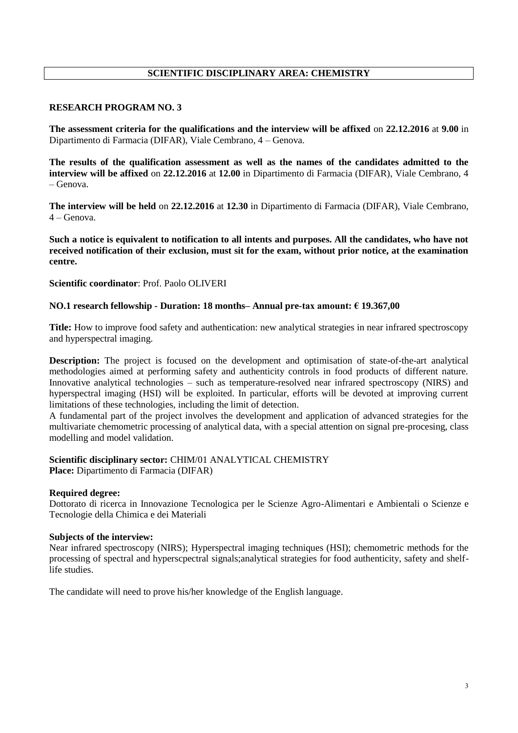# **SCIENTIFIC DISCIPLINARY AREA: CHEMISTRY**

### **RESEARCH PROGRAM NO. 3**

**The assessment criteria for the qualifications and the interview will be affixed** on **22.12.2016** at **9.00** in Dipartimento di Farmacia (DIFAR), Viale Cembrano, 4 – Genova.

**The results of the qualification assessment as well as the names of the candidates admitted to the interview will be affixed** on **22.12.2016** at **12.00** in Dipartimento di Farmacia (DIFAR), Viale Cembrano, 4 – Genova.

**The interview will be held** on **22.12.2016** at **12.30** in Dipartimento di Farmacia (DIFAR), Viale Cembrano, 4 – Genova.

**Such a notice is equivalent to notification to all intents and purposes. All the candidates, who have not received notification of their exclusion, must sit for the exam, without prior notice, at the examination centre.**

### **Scientific coordinator**: Prof. Paolo OLIVERI

### **NO.1 research fellowship - Duration: 18 months– Annual pre-tax amount: € 19.367,00**

**Title:** How to improve food safety and authentication: new analytical strategies in near infrared spectroscopy and hyperspectral imaging.

**Description:** The project is focused on the development and optimisation of state-of-the-art analytical methodologies aimed at performing safety and authenticity controls in food products of different nature. Innovative analytical technologies – such as temperature-resolved near infrared spectroscopy (NIRS) and hyperspectral imaging (HSI) will be exploited. In particular, efforts will be devoted at improving current limitations of these technologies, including the limit of detection.

A fundamental part of the project involves the development and application of advanced strategies for the multivariate chemometric processing of analytical data, with a special attention on signal pre-procesing, class modelling and model validation.

# **Scientific disciplinary sector:** CHIM/01 ANALYTICAL CHEMISTRY

**Place:** Dipartimento di Farmacia (DIFAR)

### **Required degree:**

Dottorato di ricerca in Innovazione Tecnologica per le Scienze Agro-Alimentari e Ambientali o Scienze e Tecnologie della Chimica e dei Materiali

### **Subjects of the interview:**

Near infrared spectroscopy (NIRS); Hyperspectral imaging techniques (HSI); chemometric methods for the processing of spectral and hyperscpectral signals;analytical strategies for food authenticity, safety and shelflife studies.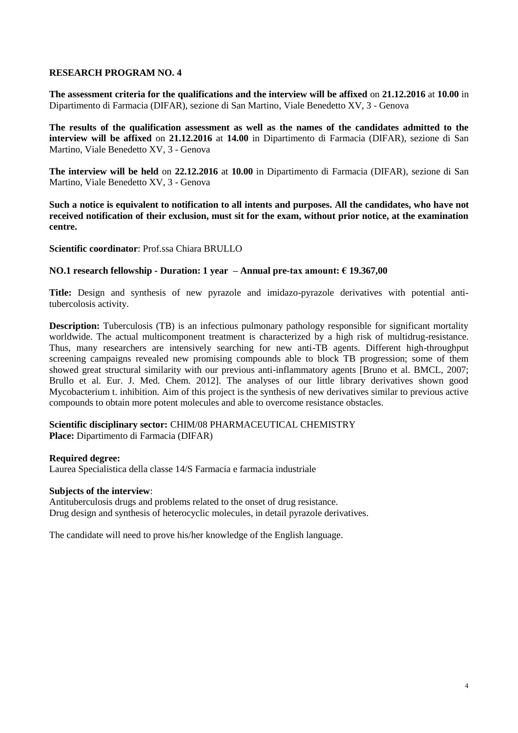**The assessment criteria for the qualifications and the interview will be affixed** on **21.12.2016** at **10.00** in Dipartimento di Farmacia (DIFAR), sezione di San Martino, Viale Benedetto XV, 3 - Genova

**The results of the qualification assessment as well as the names of the candidates admitted to the interview will be affixed** on **21.12.2016** at **14.00** in Dipartimento di Farmacia (DIFAR), sezione di San Martino, Viale Benedetto XV, 3 - Genova

**The interview will be held** on **22.12.2016** at **10.00** in Dipartimento di Farmacia (DIFAR), sezione di San Martino, Viale Benedetto XV, 3 - Genova

**Such a notice is equivalent to notification to all intents and purposes. All the candidates, who have not received notification of their exclusion, must sit for the exam, without prior notice, at the examination centre.**

**Scientific coordinator**: Prof.ssa Chiara BRULLO

### **NO.1 research fellowship - Duration: 1 year – Annual pre-tax amount: € 19.367,00**

**Title:** Design and synthesis of new pyrazole and imidazo-pyrazole derivatives with potential antitubercolosis activity.

**Description:** Tuberculosis (TB) is an infectious pulmonary pathology responsible for significant mortality worldwide. The actual multicomponent treatment is characterized by a high risk of multidrug-resistance. Thus, many researchers are intensively searching for new anti-TB agents. Different high-throughput screening campaigns revealed new promising compounds able to block TB progression; some of them showed great structural similarity with our previous anti-inflammatory agents [Bruno et al. BMCL, 2007; Brullo et al. Eur. J. Med. Chem. 2012]. The analyses of our little library derivatives shown good Mycobacterium t. inhibition. Aim of this project is the synthesis of new derivatives similar to previous active compounds to obtain more potent molecules and able to overcome resistance obstacles.

### **Scientific disciplinary sector:** CHIM/08 PHARMACEUTICAL CHEMISTRY **Place:** Dipartimento di Farmacia (DIFAR)

### **Required degree:**

Laurea Specialistica della classe 14/S Farmacia e farmacia industriale

### **Subjects of the interview**:

Antituberculosis drugs and problems related to the onset of drug resistance. Drug design and synthesis of heterocyclic molecules, in detail pyrazole derivatives.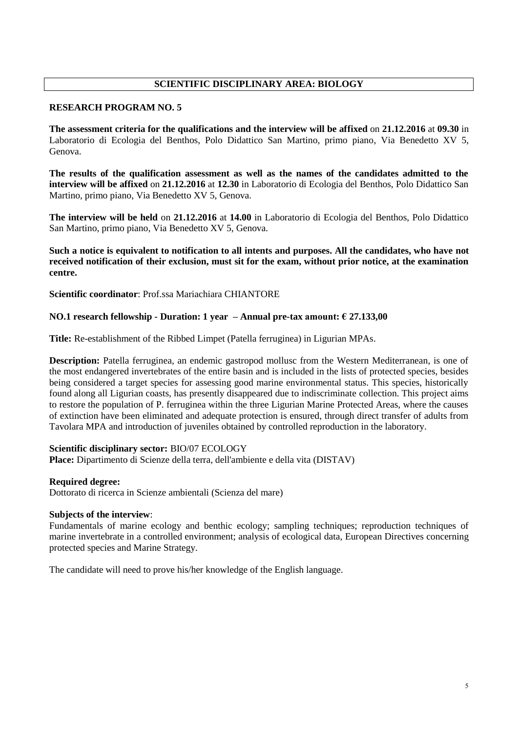# **SCIENTIFIC DISCIPLINARY AREA: BIOLOGY**

### **RESEARCH PROGRAM NO. 5**

**The assessment criteria for the qualifications and the interview will be affixed** on **21.12.2016** at **09.30** in Laboratorio di Ecologia del Benthos, Polo Didattico San Martino, primo piano, Via Benedetto XV 5, Genova.

**The results of the qualification assessment as well as the names of the candidates admitted to the interview will be affixed** on **21.12.2016** at **12.30** in Laboratorio di Ecologia del Benthos, Polo Didattico San Martino, primo piano, Via Benedetto XV 5, Genova.

**The interview will be held** on **21.12.2016** at **14.00** in Laboratorio di Ecologia del Benthos, Polo Didattico San Martino, primo piano, Via Benedetto XV 5, Genova.

**Such a notice is equivalent to notification to all intents and purposes. All the candidates, who have not received notification of their exclusion, must sit for the exam, without prior notice, at the examination centre.**

**Scientific coordinator**: Prof.ssa Mariachiara CHIANTORE

# **NO.1 research fellowship - Duration: 1 year – Annual pre-tax amount: € 27.133,00**

**Title:** Re-establishment of the Ribbed Limpet (Patella ferruginea) in Ligurian MPAs.

**Description:** Patella ferruginea, an endemic gastropod mollusc from the Western Mediterranean, is one of the most endangered invertebrates of the entire basin and is included in the lists of protected species, besides being considered a target species for assessing good marine environmental status. This species, historically found along all Ligurian coasts, has presently disappeared due to indiscriminate collection. This project aims to restore the population of P. ferruginea within the three Ligurian Marine Protected Areas, where the causes of extinction have been eliminated and adequate protection is ensured, through direct transfer of adults from Tavolara MPA and introduction of juveniles obtained by controlled reproduction in the laboratory.

### **Scientific disciplinary sector:** BIO/07 ECOLOGY

**Place:** Dipartimento di Scienze della terra, dell'ambiente e della vita (DISTAV)

### **Required degree:**

Dottorato di ricerca in Scienze ambientali (Scienza del mare)

### **Subjects of the interview**:

Fundamentals of marine ecology and benthic ecology; sampling techniques; reproduction techniques of marine invertebrate in a controlled environment; analysis of ecological data, European Directives concerning protected species and Marine Strategy.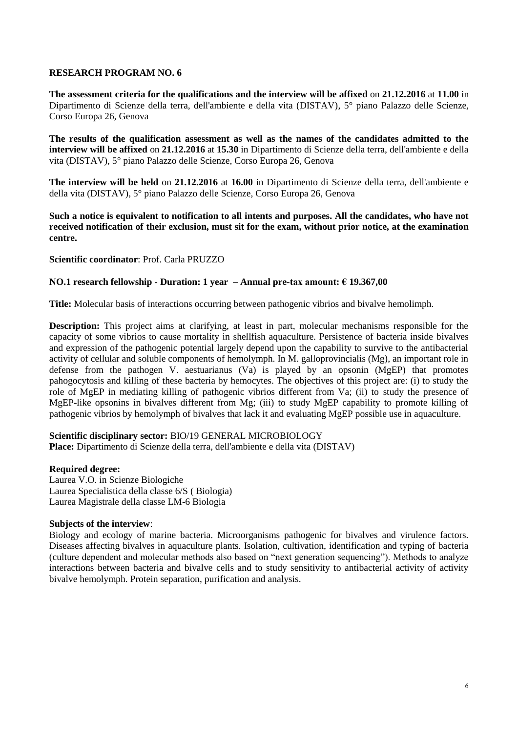**The assessment criteria for the qualifications and the interview will be affixed** on **21.12.2016** at **11.00** in Dipartimento di Scienze della terra, dell'ambiente e della vita (DISTAV), 5° piano Palazzo delle Scienze, Corso Europa 26, Genova

**The results of the qualification assessment as well as the names of the candidates admitted to the interview will be affixed** on **21.12.2016** at **15.30** in Dipartimento di Scienze della terra, dell'ambiente e della vita (DISTAV), 5° piano Palazzo delle Scienze, Corso Europa 26, Genova

**The interview will be held** on **21.12.2016** at **16.00** in Dipartimento di Scienze della terra, dell'ambiente e della vita (DISTAV), 5° piano Palazzo delle Scienze, Corso Europa 26, Genova

**Such a notice is equivalent to notification to all intents and purposes. All the candidates, who have not received notification of their exclusion, must sit for the exam, without prior notice, at the examination centre.**

**Scientific coordinator**: Prof. Carla PRUZZO

### **NO.1 research fellowship - Duration: 1 year – Annual pre-tax amount: € 19.367,00**

**Title:** Molecular basis of interactions occurring between pathogenic vibrios and bivalve hemolimph.

**Description:** This project aims at clarifying, at least in part, molecular mechanisms responsible for the capacity of some vibrios to cause mortality in shellfish aquaculture. Persistence of bacteria inside bivalves and expression of the pathogenic potential largely depend upon the capability to survive to the antibacterial activity of cellular and soluble components of hemolymph. In M. galloprovincialis (Mg), an important role in defense from the pathogen V. aestuarianus (Va) is played by an opsonin (MgEP) that promotes pahogocytosis and killing of these bacteria by hemocytes. The objectives of this project are: (i) to study the role of MgEP in mediating killing of pathogenic vibrios different from Va; (ii) to study the presence of MgEP-like opsonins in bivalves different from Mg; (iii) to study MgEP capability to promote killing of pathogenic vibrios by hemolymph of bivalves that lack it and evaluating MgEP possible use in aquaculture.

### **Scientific disciplinary sector:** BIO/19 GENERAL MICROBIOLOGY

**Place:** Dipartimento di Scienze della terra, dell'ambiente e della vita (DISTAV)

### **Required degree:**

Laurea V.O. in Scienze Biologiche Laurea Specialistica della classe 6/S ( Biologia) Laurea Magistrale della classe LM-6 Biologia

### **Subjects of the interview**:

Biology and ecology of marine bacteria. Microorganisms pathogenic for bivalves and virulence factors. Diseases affecting bivalves in aquaculture plants. Isolation, cultivation, identification and typing of bacteria (culture dependent and molecular methods also based on "next generation sequencing"). Methods to analyze interactions between bacteria and bivalve cells and to study sensitivity to antibacterial activity of activity bivalve hemolymph. Protein separation, purification and analysis.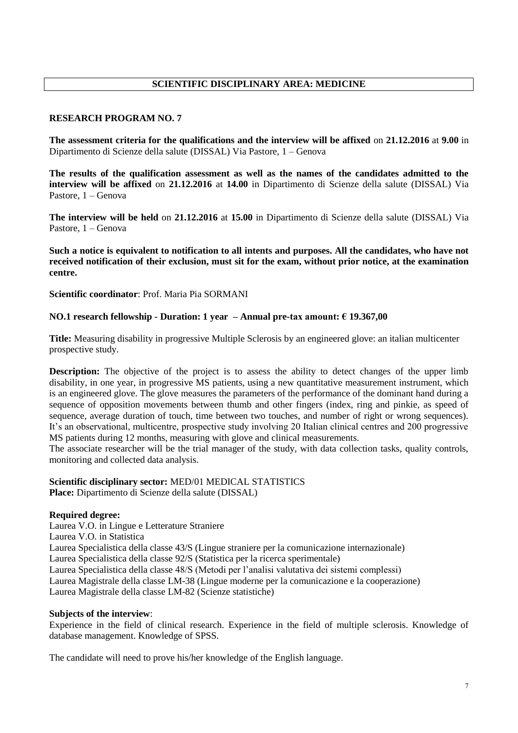# **SCIENTIFIC DISCIPLINARY AREA: MEDICINE**

# **RESEARCH PROGRAM NO. 7**

**The assessment criteria for the qualifications and the interview will be affixed** on **21.12.2016** at **9.00** in Dipartimento di Scienze della salute (DISSAL) Via Pastore, 1 – Genova

**The results of the qualification assessment as well as the names of the candidates admitted to the interview will be affixed** on **21.12.2016** at **14.00** in Dipartimento di Scienze della salute (DISSAL) Via Pastore, 1 – Genova

**The interview will be held** on **21.12.2016** at **15.00** in Dipartimento di Scienze della salute (DISSAL) Via Pastore, 1 – Genova

**Such a notice is equivalent to notification to all intents and purposes. All the candidates, who have not received notification of their exclusion, must sit for the exam, without prior notice, at the examination centre.**

**Scientific coordinator**: Prof. Maria Pia SORMANI

### **NO.1 research fellowship - Duration: 1 year – Annual pre-tax amount: € 19.367,00**

**Title:** Measuring disability in progressive Multiple Sclerosis by an engineered glove: an italian multicenter prospective study.

**Description:** The objective of the project is to assess the ability to detect changes of the upper limb disability, in one year, in progressive MS patients, using a new quantitative measurement instrument, which is an engineered glove. The glove measures the parameters of the performance of the dominant hand during a sequence of opposition movements between thumb and other fingers (index, ring and pinkie, as speed of sequence, average duration of touch, time between two touches, and number of right or wrong sequences). It's an observational, multicentre, prospective study involving 20 Italian clinical centres and 200 progressive MS patients during 12 months, measuring with glove and clinical measurements.

The associate researcher will be the trial manager of the study, with data collection tasks, quality controls, monitoring and collected data analysis.

### **Scientific disciplinary sector:** MED/01 MEDICAL STATISTICS **Place:** Dipartimento di Scienze della salute (DISSAL)

### **Required degree:**

Laurea V.O. in Lingue e Letterature Straniere Laurea V.O. in Statistica Laurea Specialistica della classe 43/S (Lingue straniere per la comunicazione internazionale) Laurea Specialistica della classe 92/S (Statistica per la ricerca sperimentale) Laurea Specialistica della classe 48/S (Metodi per l'analisi valutativa dei sistemi complessi) Laurea Magistrale della classe LM-38 (Lingue moderne per la comunicazione e la cooperazione) Laurea Magistrale della classe LM-82 (Scienze statistiche)

### **Subjects of the interview**:

Experience in the field of clinical research. Experience in the field of multiple sclerosis. Knowledge of database management. Knowledge of SPSS.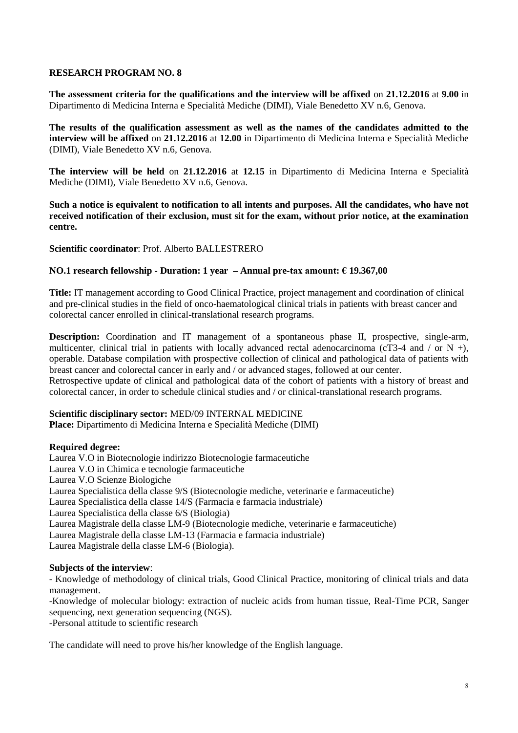**The assessment criteria for the qualifications and the interview will be affixed** on **21.12.2016** at **9.00** in Dipartimento di Medicina Interna e Specialità Mediche (DIMI), Viale Benedetto XV n.6, Genova.

**The results of the qualification assessment as well as the names of the candidates admitted to the interview will be affixed** on **21.12.2016** at **12.00** in Dipartimento di Medicina Interna e Specialità Mediche (DIMI), Viale Benedetto XV n.6, Genova.

**The interview will be held** on **21.12.2016** at **12.15** in Dipartimento di Medicina Interna e Specialità Mediche (DIMI), Viale Benedetto XV n.6, Genova.

**Such a notice is equivalent to notification to all intents and purposes. All the candidates, who have not received notification of their exclusion, must sit for the exam, without prior notice, at the examination centre.**

**Scientific coordinator**: Prof. Alberto BALLESTRERO

### **NO.1 research fellowship - Duration: 1 year – Annual pre-tax amount: € 19.367,00**

**Title:** IT management according to Good Clinical Practice, project management and coordination of clinical and pre-clinical studies in the field of onco-haematological clinical trials in patients with breast cancer and colorectal cancer enrolled in clinical-translational research programs.

**Description:** Coordination and IT management of a spontaneous phase II, prospective, single-arm, multicenter, clinical trial in patients with locally advanced rectal adenocarcinoma (cT3-4 and / or N +), operable. Database compilation with prospective collection of clinical and pathological data of patients with breast cancer and colorectal cancer in early and / or advanced stages, followed at our center. Retrospective update of clinical and pathological data of the cohort of patients with a history of breast and colorectal cancer, in order to schedule clinical studies and / or clinical-translational research programs.

# **Scientific disciplinary sector:** MED/09 INTERNAL MEDICINE

**Place:** Dipartimento di Medicina Interna e Specialità Mediche (DIMI)

### **Required degree:**

Laurea V.O in Biotecnologie indirizzo Biotecnologie farmaceutiche Laurea V.O in Chimica e tecnologie farmaceutiche Laurea V.O Scienze Biologiche Laurea Specialistica della classe 9/S (Biotecnologie mediche, veterinarie e farmaceutiche) Laurea Specialistica della classe 14/S (Farmacia e farmacia industriale) Laurea Specialistica della classe 6/S (Biologia) Laurea Magistrale della classe LM-9 (Biotecnologie mediche, veterinarie e farmaceutiche) Laurea Magistrale della classe LM-13 (Farmacia e farmacia industriale) Laurea Magistrale della classe LM-6 (Biologia).

### **Subjects of the interview**:

- Knowledge of methodology of clinical trials, Good Clinical Practice, monitoring of clinical trials and data management.

-Knowledge of molecular biology: extraction of nucleic acids from human tissue, Real-Time PCR, Sanger sequencing, next generation sequencing (NGS).

-Personal attitude to scientific research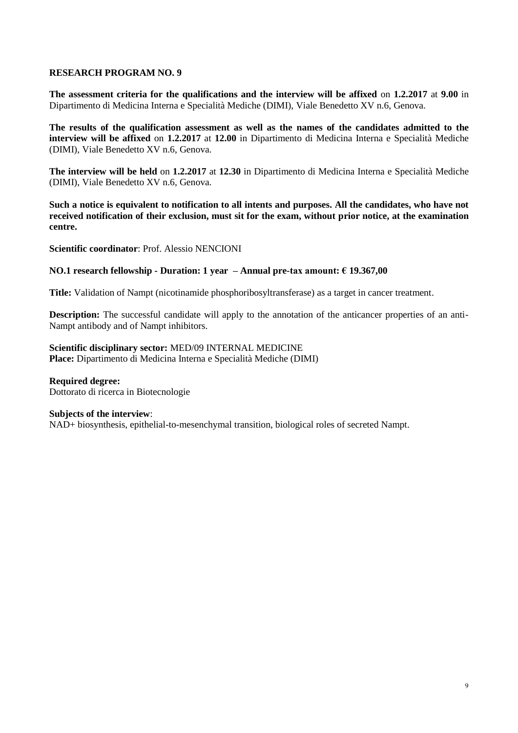**The assessment criteria for the qualifications and the interview will be affixed** on **1.2.2017** at **9.00** in Dipartimento di Medicina Interna e Specialità Mediche (DIMI), Viale Benedetto XV n.6, Genova.

**The results of the qualification assessment as well as the names of the candidates admitted to the interview will be affixed** on **1.2.2017** at **12.00** in Dipartimento di Medicina Interna e Specialità Mediche (DIMI), Viale Benedetto XV n.6, Genova.

**The interview will be held** on **1.2.2017** at **12.30** in Dipartimento di Medicina Interna e Specialità Mediche (DIMI), Viale Benedetto XV n.6, Genova.

**Such a notice is equivalent to notification to all intents and purposes. All the candidates, who have not received notification of their exclusion, must sit for the exam, without prior notice, at the examination centre.**

**Scientific coordinator**: Prof. Alessio NENCIONI

### **NO.1 research fellowship - Duration: 1 year – Annual pre-tax amount: € 19.367,00**

**Title:** Validation of Nampt (nicotinamide phosphoribosyltransferase) as a target in cancer treatment.

**Description:** The successful candidate will apply to the annotation of the anticancer properties of an anti-Nampt antibody and of Nampt inhibitors.

**Scientific disciplinary sector:** MED/09 INTERNAL MEDICINE **Place:** Dipartimento di Medicina Interna e Specialità Mediche (DIMI)

**Required degree:**  Dottorato di ricerca in Biotecnologie

### **Subjects of the interview**:

NAD+ biosynthesis, epithelial-to-mesenchymal transition, biological roles of secreted Nampt.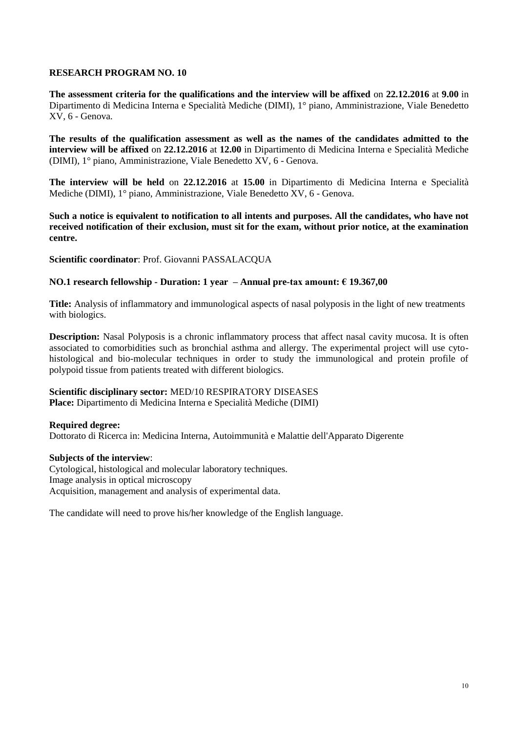**The assessment criteria for the qualifications and the interview will be affixed** on **22.12.2016** at **9.00** in Dipartimento di Medicina Interna e Specialità Mediche (DIMI), 1° piano, Amministrazione, Viale Benedetto XV, 6 - Genova.

**The results of the qualification assessment as well as the names of the candidates admitted to the interview will be affixed** on **22.12.2016** at **12.00** in Dipartimento di Medicina Interna e Specialità Mediche (DIMI), 1° piano, Amministrazione, Viale Benedetto XV, 6 - Genova.

**The interview will be held** on **22.12.2016** at **15.00** in Dipartimento di Medicina Interna e Specialità Mediche (DIMI), 1° piano, Amministrazione, Viale Benedetto XV, 6 - Genova.

**Such a notice is equivalent to notification to all intents and purposes. All the candidates, who have not received notification of their exclusion, must sit for the exam, without prior notice, at the examination centre.**

**Scientific coordinator**: Prof. Giovanni PASSALACQUA

# **NO.1 research fellowship - Duration: 1 year – Annual pre-tax amount: € 19.367,00**

**Title:** Analysis of inflammatory and immunological aspects of nasal polyposis in the light of new treatments with biologics.

**Description:** Nasal Polyposis is a chronic inflammatory process that affect nasal cavity mucosa. It is often associated to comorbidities such as bronchial asthma and allergy. The experimental project will use cytohistological and bio-molecular techniques in order to study the immunological and protein profile of polypoid tissue from patients treated with different biologics.

### **Scientific disciplinary sector:** MED/10 RESPIRATORY DISEASES

**Place:** Dipartimento di Medicina Interna e Specialità Mediche (DIMI)

### **Required degree:**

Dottorato di Ricerca in: Medicina Interna, Autoimmunità e Malattie dell'Apparato Digerente

### **Subjects of the interview**:

Cytological, histological and molecular laboratory techniques. Image analysis in optical microscopy Acquisition, management and analysis of experimental data.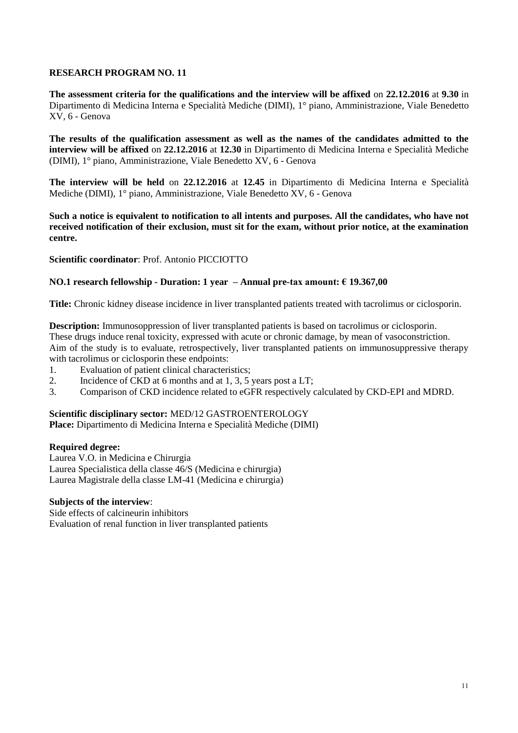**The assessment criteria for the qualifications and the interview will be affixed** on **22.12.2016** at **9.30** in Dipartimento di Medicina Interna e Specialità Mediche (DIMI), 1° piano, Amministrazione, Viale Benedetto XV, 6 - Genova

**The results of the qualification assessment as well as the names of the candidates admitted to the interview will be affixed** on **22.12.2016** at **12.30** in Dipartimento di Medicina Interna e Specialità Mediche (DIMI), 1° piano, Amministrazione, Viale Benedetto XV, 6 - Genova

**The interview will be held** on **22.12.2016** at **12.45** in Dipartimento di Medicina Interna e Specialità Mediche (DIMI), 1° piano, Amministrazione, Viale Benedetto XV, 6 - Genova

**Such a notice is equivalent to notification to all intents and purposes. All the candidates, who have not received notification of their exclusion, must sit for the exam, without prior notice, at the examination centre.**

**Scientific coordinator**: Prof. Antonio PICCIOTTO

# **NO.1 research fellowship - Duration: 1 year – Annual pre-tax amount: € 19.367,00**

**Title:** Chronic kidney disease incidence in liver transplanted patients treated with tacrolimus or ciclosporin.

**Description:** Immunosoppression of liver transplanted patients is based on tacrolimus or ciclosporin. These drugs induce renal toxicity, expressed with acute or chronic damage, by mean of vasoconstriction. Aim of the study is to evaluate, retrospectively, liver transplanted patients on immunosuppressive therapy with tacrolimus or ciclosporin these endpoints:

- 1. Evaluation of patient clinical characteristics;
- 2. Incidence of CKD at 6 months and at 1, 3, 5 years post a LT;
- 3. Comparison of CKD incidence related to eGFR respectively calculated by CKD-EPI and MDRD.

### **Scientific disciplinary sector:** MED/12 GASTROENTEROLOGY

**Place:** Dipartimento di Medicina Interna e Specialità Mediche (DIMI)

### **Required degree:**

Laurea V.O. in Medicina e Chirurgia Laurea Specialistica della classe 46/S (Medicina e chirurgia) Laurea Magistrale della classe LM-41 (Medicina e chirurgia)

### **Subjects of the interview**:

Side effects of calcineurin inhibitors Evaluation of renal function in liver transplanted patients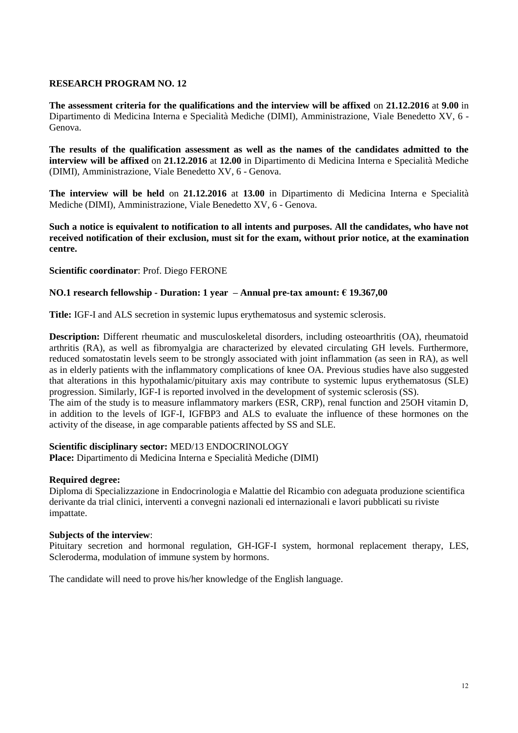**The assessment criteria for the qualifications and the interview will be affixed** on **21.12.2016** at **9.00** in Dipartimento di Medicina Interna e Specialità Mediche (DIMI), Amministrazione, Viale Benedetto XV, 6 - Genova.

**The results of the qualification assessment as well as the names of the candidates admitted to the interview will be affixed** on **21.12.2016** at **12.00** in Dipartimento di Medicina Interna e Specialità Mediche (DIMI), Amministrazione, Viale Benedetto XV, 6 - Genova.

**The interview will be held** on **21.12.2016** at **13.00** in Dipartimento di Medicina Interna e Specialità Mediche (DIMI), Amministrazione, Viale Benedetto XV, 6 - Genova.

**Such a notice is equivalent to notification to all intents and purposes. All the candidates, who have not received notification of their exclusion, must sit for the exam, without prior notice, at the examination centre.**

**Scientific coordinator**: Prof. Diego FERONE

# **NO.1 research fellowship - Duration: 1 year – Annual pre-tax amount: € 19.367,00**

**Title:** IGF-I and ALS secretion in systemic lupus erythematosus and systemic sclerosis.

**Description:** Different rheumatic and musculoskeletal disorders, including osteoarthritis (OA), rheumatoid arthritis (RA), as well as fibromyalgia are characterized by elevated circulating GH levels. Furthermore, reduced somatostatin levels seem to be strongly associated with joint inflammation (as seen in RA), as well as in elderly patients with the inflammatory complications of knee OA. Previous studies have also suggested that alterations in this hypothalamic/pituitary axis may contribute to systemic lupus erythematosus (SLE) progression. Similarly, IGF-I is reported involved in the development of systemic sclerosis (SS).

The aim of the study is to measure inflammatory markers (ESR, CRP), renal function and 25OH vitamin D, in addition to the levels of IGF-I, IGFBP3 and ALS to evaluate the influence of these hormones on the activity of the disease, in age comparable patients affected by SS and SLE.

### **Scientific disciplinary sector:** MED/13 ENDOCRINOLOGY

**Place:** Dipartimento di Medicina Interna e Specialità Mediche (DIMI)

### **Required degree:**

Diploma di Specializzazione in Endocrinologia e Malattie del Ricambio con adeguata produzione scientifica derivante da trial clinici, interventi a convegni nazionali ed internazionali e lavori pubblicati su riviste impattate.

### **Subjects of the interview**:

Pituitary secretion and hormonal regulation, GH-IGF-I system, hormonal replacement therapy, LES, Scleroderma, modulation of immune system by hormons.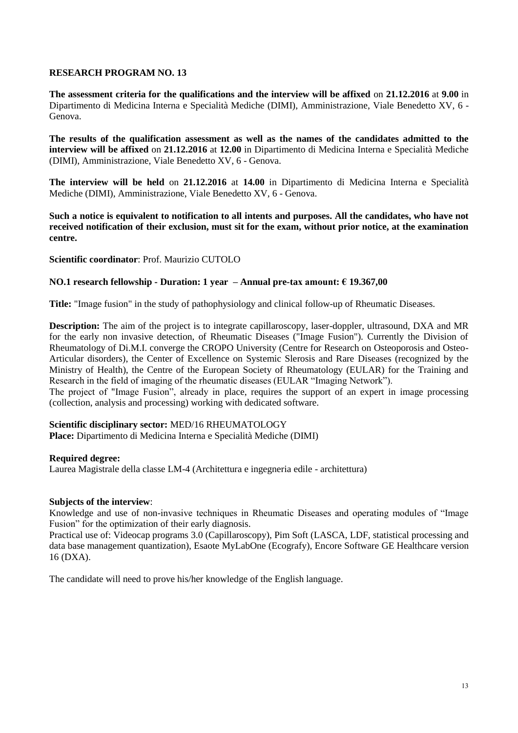**The assessment criteria for the qualifications and the interview will be affixed** on **21.12.2016** at **9.00** in Dipartimento di Medicina Interna e Specialità Mediche (DIMI), Amministrazione, Viale Benedetto XV, 6 - Genova.

**The results of the qualification assessment as well as the names of the candidates admitted to the interview will be affixed** on **21.12.2016** at **12.00** in Dipartimento di Medicina Interna e Specialità Mediche (DIMI), Amministrazione, Viale Benedetto XV, 6 - Genova.

**The interview will be held** on **21.12.2016** at **14.00** in Dipartimento di Medicina Interna e Specialità Mediche (DIMI), Amministrazione, Viale Benedetto XV, 6 - Genova.

**Such a notice is equivalent to notification to all intents and purposes. All the candidates, who have not received notification of their exclusion, must sit for the exam, without prior notice, at the examination centre.**

**Scientific coordinator**: Prof. Maurizio CUTOLO

### **NO.1 research fellowship - Duration: 1 year – Annual pre-tax amount: € 19.367,00**

**Title:** "Image fusion" in the study of pathophysiology and clinical follow-up of Rheumatic Diseases.

**Description:** The aim of the project is to integrate capillaroscopy, laser-doppler, ultrasound, DXA and MR for the early non invasive detection, of Rheumatic Diseases ("Image Fusion"). Currently the Division of Rheumatology of Di.M.I. converge the CROPO University (Centre for Research on Osteoporosis and Osteo-Articular disorders), the Center of Excellence on Systemic Slerosis and Rare Diseases (recognized by the Ministry of Health), the Centre of the European Society of Rheumatology (EULAR) for the Training and Research in the field of imaging of the rheumatic diseases (EULAR "Imaging Network").

The project of "Image Fusion", already in place, requires the support of an expert in image processing (collection, analysis and processing) working with dedicated software.

### **Scientific disciplinary sector:** MED/16 RHEUMATOLOGY

**Place:** Dipartimento di Medicina Interna e Specialità Mediche (DIMI)

### **Required degree:**

Laurea Magistrale della classe LM-4 (Architettura e ingegneria edile - architettura)

### **Subjects of the interview**:

Knowledge and use of non-invasive techniques in Rheumatic Diseases and operating modules of "Image Fusion" for the optimization of their early diagnosis.

Practical use of: Videocap programs 3.0 (Capillaroscopy), Pim Soft (LASCA, LDF, statistical processing and data base management quantization), Esaote MyLabOne (Ecografy), Encore Software GE Healthcare version 16 (DXA).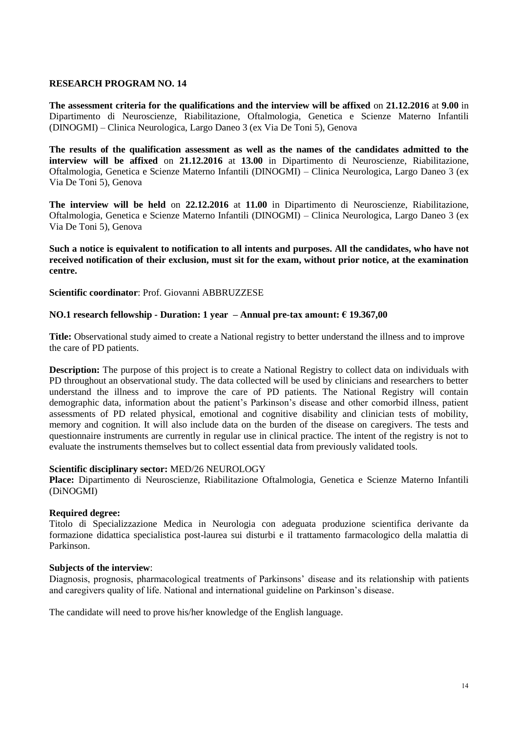**The assessment criteria for the qualifications and the interview will be affixed** on **21.12.2016** at **9.00** in Dipartimento di Neuroscienze, Riabilitazione, Oftalmologia, Genetica e Scienze Materno Infantili (DINOGMI) – Clinica Neurologica, Largo Daneo 3 (ex Via De Toni 5), Genova

**The results of the qualification assessment as well as the names of the candidates admitted to the interview will be affixed** on **21.12.2016** at **13.00** in Dipartimento di Neuroscienze, Riabilitazione, Oftalmologia, Genetica e Scienze Materno Infantili (DINOGMI) – Clinica Neurologica, Largo Daneo 3 (ex Via De Toni 5), Genova

**The interview will be held** on **22.12.2016** at **11.00** in Dipartimento di Neuroscienze, Riabilitazione, Oftalmologia, Genetica e Scienze Materno Infantili (DINOGMI) – Clinica Neurologica, Largo Daneo 3 (ex Via De Toni 5), Genova

**Such a notice is equivalent to notification to all intents and purposes. All the candidates, who have not received notification of their exclusion, must sit for the exam, without prior notice, at the examination centre.**

**Scientific coordinator**: Prof. Giovanni ABBRUZZESE

### **NO.1 research fellowship - Duration: 1 year – Annual pre-tax amount: € 19.367,00**

**Title:** Observational study aimed to create a National registry to better understand the illness and to improve the care of PD patients.

**Description:** The purpose of this project is to create a National Registry to collect data on individuals with PD throughout an observational study. The data collected will be used by clinicians and researchers to better understand the illness and to improve the care of PD patients. The National Registry will contain demographic data, information about the patient's Parkinson's disease and other comorbid illness, patient assessments of PD related physical, emotional and cognitive disability and clinician tests of mobility, memory and cognition. It will also include data on the burden of the disease on caregivers. The tests and questionnaire instruments are currently in regular use in clinical practice. The intent of the registry is not to evaluate the instruments themselves but to collect essential data from previously validated tools.

### **Scientific disciplinary sector:** MED/26 NEUROLOGY

**Place:** Dipartimento di Neuroscienze, Riabilitazione Oftalmologia, Genetica e Scienze Materno Infantili (DiNOGMI)

### **Required degree:**

Titolo di Specializzazione Medica in Neurologia con adeguata produzione scientifica derivante da formazione didattica specialistica post-laurea sui disturbi e il trattamento farmacologico della malattia di Parkinson.

### **Subjects of the interview**:

Diagnosis, prognosis, pharmacological treatments of Parkinsons' disease and its relationship with patients and caregivers quality of life. National and international guideline on Parkinson's disease.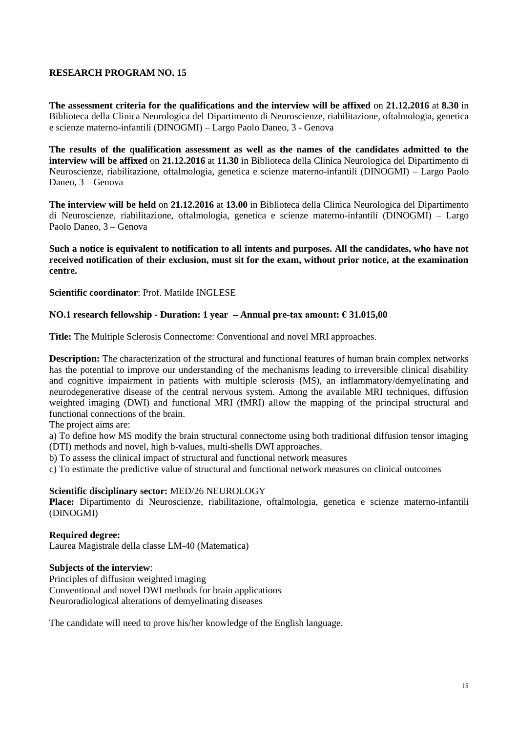**The assessment criteria for the qualifications and the interview will be affixed** on **21.12.2016** at **8.30** in Biblioteca della Clinica Neurologica del Dipartimento di Neuroscienze, riabilitazione, oftalmologia, genetica e scienze materno-infantili (DINOGMI) – Largo Paolo Daneo, 3 - Genova

**The results of the qualification assessment as well as the names of the candidates admitted to the interview will be affixed** on **21.12.2016** at **11.30** in Biblioteca della Clinica Neurologica del Dipartimento di Neuroscienze, riabilitazione, oftalmologia, genetica e scienze materno-infantili (DINOGMI) – Largo Paolo Daneo, 3 – Genova

**The interview will be held** on **21.12.2016** at **13.00** in Biblioteca della Clinica Neurologica del Dipartimento di Neuroscienze, riabilitazione, oftalmologia, genetica e scienze materno-infantili (DINOGMI) – Largo Paolo Daneo, 3 – Genova

**Such a notice is equivalent to notification to all intents and purposes. All the candidates, who have not received notification of their exclusion, must sit for the exam, without prior notice, at the examination centre.**

**Scientific coordinator**: Prof. Matilde INGLESE

### **NO.1 research fellowship - Duration: 1 year – Annual pre-tax amount: € 31.015,00**

**Title:** The Multiple Sclerosis Connectome: Conventional and novel MRI approaches.

**Description:** The characterization of the structural and functional features of human brain complex networks has the potential to improve our understanding of the mechanisms leading to irreversible clinical disability and cognitive impairment in patients with multiple sclerosis (MS), an inflammatory/demyelinating and neurodegenerative disease of the central nervous system. Among the available MRI techniques, diffusion weighted imaging (DWI) and functional MRI (fMRI) allow the mapping of the principal structural and functional connections of the brain.

The project aims are:

a) To define how MS modify the brain structural connectome using both traditional diffusion tensor imaging (DTI) methods and novel, high b-values, multi-shells DWI approaches.

b) To assess the clinical impact of structural and functional network measures

c) To estimate the predictive value of structural and functional network measures on clinical outcomes

# **Scientific disciplinary sector:** MED/26 NEUROLOGY

**Place:** Dipartimento di Neuroscienze, riabilitazione, oftalmologia, genetica e scienze materno-infantili (DINOGMI)

### **Required degree:**

Laurea Magistrale della classe LM-40 (Matematica)

### **Subjects of the interview**:

Principles of diffusion weighted imaging Conventional and novel DWI methods for brain applications Neuroradiological alterations of demyelinating diseases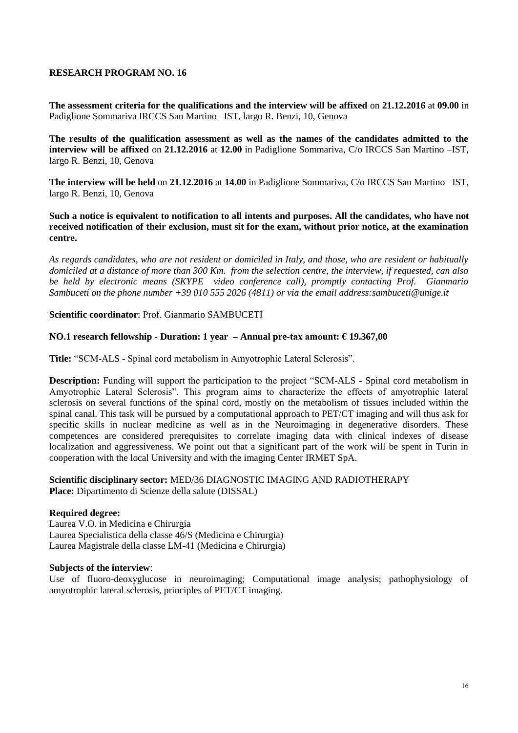**The assessment criteria for the qualifications and the interview will be affixed** on **21.12.2016** at **09.00** in Padiglione Sommariva IRCCS San Martino –IST, largo R. Benzi, 10, Genova

**The results of the qualification assessment as well as the names of the candidates admitted to the interview will be affixed** on **21.12.2016** at **12.00** in Padiglione Sommariva, C/o IRCCS San Martino –IST, largo R. Benzi, 10, Genova

**The interview will be held** on **21.12.2016** at **14.00** in Padiglione Sommariva, C/o IRCCS San Martino –IST, largo R. Benzi, 10, Genova

**Such a notice is equivalent to notification to all intents and purposes. All the candidates, who have not received notification of their exclusion, must sit for the exam, without prior notice, at the examination centre.**

*As regards candidates, who are not resident or domiciled in Italy, and those, who are resident or habitually domiciled at a distance of more than 300 Km. from the selection centre, the interview, if requested, can also be held by electronic means (SKYPE video conference call), promptly contacting Prof. Gianmario Sambuceti on the phone number +39 010 555 2026 (4811) or via the email address:sambuceti@unige.it*

**Scientific coordinator**: Prof. Gianmario SAMBUCETI

### **NO.1 research fellowship - Duration: 1 year – Annual pre-tax amount: € 19.367,00**

**Title:** "SCM-ALS - Spinal cord metabolism in Amyotrophic Lateral Sclerosis".

**Description:** Funding will support the participation to the project "SCM-ALS - Spinal cord metabolism in Amyotrophic Lateral Sclerosis". This program aims to characterize the effects of amyotrophic lateral sclerosis on several functions of the spinal cord, mostly on the metabolism of tissues included within the spinal canal. This task will be pursued by a computational approach to PET/CT imaging and will thus ask for specific skills in nuclear medicine as well as in the Neuroimaging in degenerative disorders. These competences are considered prerequisites to correlate imaging data with clinical indexes of disease localization and aggressiveness. We point out that a significant part of the work will be spent in Turin in cooperation with the local University and with the imaging Center IRMET SpA.

### **Scientific disciplinary sector:** MED/36 DIAGNOSTIC IMAGING AND RADIOTHERAPY **Place:** Dipartimento di Scienze della salute (DISSAL)

### **Required degree:**

Laurea V.O. in Medicina e Chirurgia Laurea Specialistica della classe 46/S (Medicina e Chirurgia) Laurea Magistrale della classe LM-41 (Medicina e Chirurgia)

### **Subjects of the interview**:

Use of fluoro-deoxyglucose in neuroimaging; Computational image analysis; pathophysiology of amyotrophic lateral sclerosis, principles of PET/CT imaging.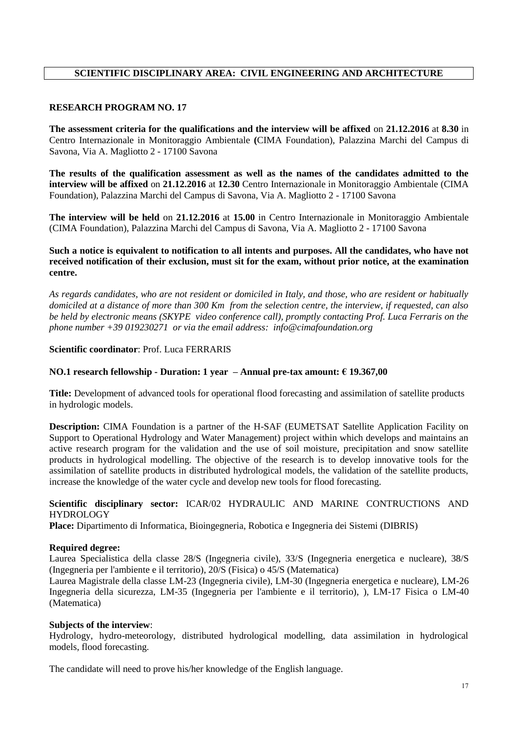# **SCIENTIFIC DISCIPLINARY AREA: CIVIL ENGINEERING AND ARCHITECTURE**

# **RESEARCH PROGRAM NO. 17**

**The assessment criteria for the qualifications and the interview will be affixed** on **21.12.2016** at **8.30** in Centro Internazionale in Monitoraggio Ambientale **(**CIMA Foundation), Palazzina Marchi del Campus di Savona, Via A. Magliotto 2 - 17100 Savona

**The results of the qualification assessment as well as the names of the candidates admitted to the interview will be affixed** on **21.12.2016** at **12.30** Centro Internazionale in Monitoraggio Ambientale (CIMA Foundation), Palazzina Marchi del Campus di Savona, Via A. Magliotto 2 - 17100 Savona

**The interview will be held** on **21.12.2016** at **15.00** in Centro Internazionale in Monitoraggio Ambientale (CIMA Foundation), Palazzina Marchi del Campus di Savona, Via A. Magliotto 2 - 17100 Savona

### **Such a notice is equivalent to notification to all intents and purposes. All the candidates, who have not received notification of their exclusion, must sit for the exam, without prior notice, at the examination centre.**

*As regards candidates, who are not resident or domiciled in Italy, and those, who are resident or habitually domiciled at a distance of more than 300 Km from the selection centre, the interview, if requested, can also be held by electronic means (SKYPE video conference call), promptly contacting Prof. Luca Ferraris on the phone number +39 019230271 or via the email address: info@cimafoundation.org*

# **Scientific coordinator**: Prof. Luca FERRARIS

# **NO.1 research fellowship - Duration: 1 year – Annual pre-tax amount: € 19.367,00**

**Title:** Development of advanced tools for operational flood forecasting and assimilation of satellite products in hydrologic models.

**Description:** CIMA Foundation is a partner of the H-SAF (EUMETSAT Satellite Application Facility on Support to Operational Hydrology and Water Management) project within which develops and maintains an active research program for the validation and the use of soil moisture, precipitation and snow satellite products in hydrological modelling. The objective of the research is to develop innovative tools for the assimilation of satellite products in distributed hydrological models, the validation of the satellite products, increase the knowledge of the water cycle and develop new tools for flood forecasting.

### **Scientific disciplinary sector:** ICAR/02 HYDRAULIC AND MARINE CONTRUCTIONS AND **HYDROLOGY**

**Place:** Dipartimento di Informatica, Bioingegneria, Robotica e Ingegneria dei Sistemi (DIBRIS)

### **Required degree:**

Laurea Specialistica della classe 28/S (Ingegneria civile), 33/S (Ingegneria energetica e nucleare), 38/S (Ingegneria per l'ambiente e il territorio), 20/S (Fisica) o 45/S (Matematica)

Laurea Magistrale della classe LM-23 (Ingegneria civile), LM-30 (Ingegneria energetica e nucleare), LM-26 Ingegneria della sicurezza, LM-35 (Ingegneria per l'ambiente e il territorio), ), LM-17 Fisica o LM-40 (Matematica)

### **Subjects of the interview**:

Hydrology, hydro-meteorology, distributed hydrological modelling, data assimilation in hydrological models, flood forecasting.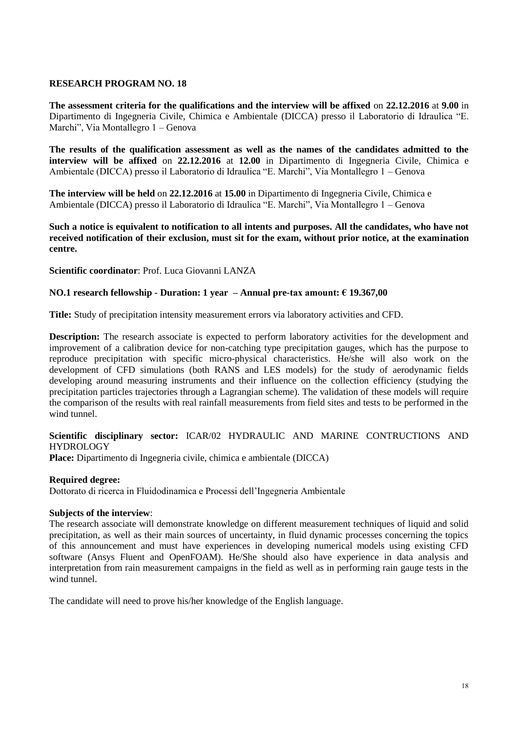**The assessment criteria for the qualifications and the interview will be affixed** on **22.12.2016** at **9.00** in Dipartimento di Ingegneria Civile, Chimica e Ambientale (DICCA) presso il Laboratorio di Idraulica "E. Marchi", Via Montallegro 1 – Genova

**The results of the qualification assessment as well as the names of the candidates admitted to the interview will be affixed** on **22.12.2016** at **12.00** in Dipartimento di Ingegneria Civile, Chimica e Ambientale (DICCA) presso il Laboratorio di Idraulica "E. Marchi", Via Montallegro 1 – Genova

**The interview will be held** on **22.12.2016** at **15.00** in Dipartimento di Ingegneria Civile, Chimica e Ambientale (DICCA) presso il Laboratorio di Idraulica "E. Marchi", Via Montallegro 1 – Genova

**Such a notice is equivalent to notification to all intents and purposes. All the candidates, who have not received notification of their exclusion, must sit for the exam, without prior notice, at the examination centre.**

**Scientific coordinator**: Prof. Luca Giovanni LANZA

### **NO.1 research fellowship - Duration: 1 year – Annual pre-tax amount: € 19.367,00**

**Title:** Study of precipitation intensity measurement errors via laboratory activities and CFD.

**Description:** The research associate is expected to perform laboratory activities for the development and improvement of a calibration device for non-catching type precipitation gauges, which has the purpose to reproduce precipitation with specific micro-physical characteristics. He/she will also work on the development of CFD simulations (both RANS and LES models) for the study of aerodynamic fields developing around measuring instruments and their influence on the collection efficiency (studying the precipitation particles trajectories through a Lagrangian scheme). The validation of these models will require the comparison of the results with real rainfall measurements from field sites and tests to be performed in the wind tunnel.

# **Scientific disciplinary sector:** ICAR/02 HYDRAULIC AND MARINE CONTRUCTIONS AND HYDROLOGY

**Place:** Dipartimento di Ingegneria civile, chimica e ambientale (DICCA)

### **Required degree:**

Dottorato di ricerca in Fluidodinamica e Processi dell'Ingegneria Ambientale

### **Subjects of the interview**:

The research associate will demonstrate knowledge on different measurement techniques of liquid and solid precipitation, as well as their main sources of uncertainty, in fluid dynamic processes concerning the topics of this announcement and must have experiences in developing numerical models using existing CFD software (Ansys Fluent and OpenFOAM). He/She should also have experience in data analysis and interpretation from rain measurement campaigns in the field as well as in performing rain gauge tests in the wind tunnel.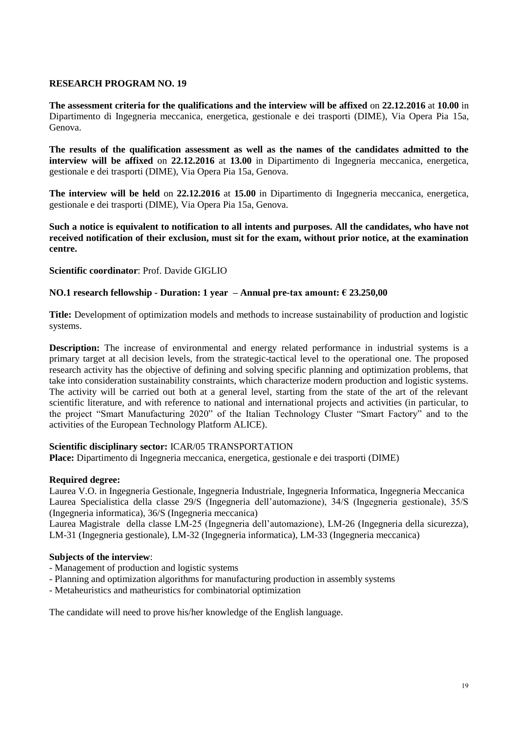**The assessment criteria for the qualifications and the interview will be affixed** on **22.12.2016** at **10.00** in Dipartimento di Ingegneria meccanica, energetica, gestionale e dei trasporti (DIME), Via Opera Pia 15a, Genova.

**The results of the qualification assessment as well as the names of the candidates admitted to the interview will be affixed** on **22.12.2016** at **13.00** in Dipartimento di Ingegneria meccanica, energetica, gestionale e dei trasporti (DIME), Via Opera Pia 15a, Genova.

**The interview will be held** on **22.12.2016** at **15.00** in Dipartimento di Ingegneria meccanica, energetica, gestionale e dei trasporti (DIME), Via Opera Pia 15a, Genova.

**Such a notice is equivalent to notification to all intents and purposes. All the candidates, who have not received notification of their exclusion, must sit for the exam, without prior notice, at the examination centre.**

**Scientific coordinator**: Prof. Davide GIGLIO

# **NO.1 research fellowship - Duration: 1 year – Annual pre-tax amount: € 23.250,00**

**Title:** Development of optimization models and methods to increase sustainability of production and logistic systems.

**Description:** The increase of environmental and energy related performance in industrial systems is a primary target at all decision levels, from the strategic-tactical level to the operational one. The proposed research activity has the objective of defining and solving specific planning and optimization problems, that take into consideration sustainability constraints, which characterize modern production and logistic systems. The activity will be carried out both at a general level, starting from the state of the art of the relevant scientific literature, and with reference to national and international projects and activities (in particular, to the project "Smart Manufacturing 2020" of the Italian Technology Cluster "Smart Factory" and to the activities of the European Technology Platform ALICE).

### **Scientific disciplinary sector:** ICAR/05 TRANSPORTATION

**Place:** Dipartimento di Ingegneria meccanica, energetica, gestionale e dei trasporti (DIME)

# **Required degree:**

Laurea V.O. in Ingegneria Gestionale, Ingegneria Industriale, Ingegneria Informatica, Ingegneria Meccanica Laurea Specialistica della classe 29/S (Ingegneria dell'automazione), 34/S (Ingegneria gestionale), 35/S (Ingegneria informatica), 36/S (Ingegneria meccanica)

Laurea Magistrale della classe LM-25 (Ingegneria dell'automazione), LM-26 (Ingegneria della sicurezza), LM-31 (Ingegneria gestionale), LM-32 (Ingegneria informatica), LM-33 (Ingegneria meccanica)

# **Subjects of the interview**:

- Management of production and logistic systems
- Planning and optimization algorithms for manufacturing production in assembly systems
- Metaheuristics and matheuristics for combinatorial optimization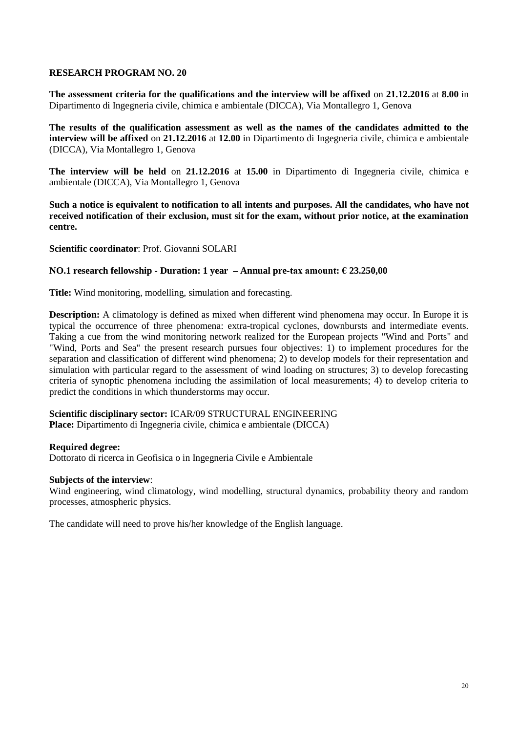**The assessment criteria for the qualifications and the interview will be affixed** on **21.12.2016** at **8.00** in Dipartimento di Ingegneria civile, chimica e ambientale (DICCA), Via Montallegro 1, Genova

**The results of the qualification assessment as well as the names of the candidates admitted to the interview will be affixed** on **21.12.2016** at **12.00** in Dipartimento di Ingegneria civile, chimica e ambientale (DICCA), Via Montallegro 1, Genova

**The interview will be held** on **21.12.2016** at **15.00** in Dipartimento di Ingegneria civile, chimica e ambientale (DICCA), Via Montallegro 1, Genova

**Such a notice is equivalent to notification to all intents and purposes. All the candidates, who have not received notification of their exclusion, must sit for the exam, without prior notice, at the examination centre.**

**Scientific coordinator**: Prof. Giovanni SOLARI

### **NO.1 research fellowship - Duration: 1 year – Annual pre-tax amount: € 23.250,00**

**Title:** Wind monitoring, modelling, simulation and forecasting.

**Description:** A climatology is defined as mixed when different wind phenomena may occur. In Europe it is typical the occurrence of three phenomena: extra-tropical cyclones, downbursts and intermediate events. Taking a cue from the wind monitoring network realized for the European projects "Wind and Ports" and "Wind, Ports and Sea" the present research pursues four objectives: 1) to implement procedures for the separation and classification of different wind phenomena; 2) to develop models for their representation and simulation with particular regard to the assessment of wind loading on structures; 3) to develop forecasting criteria of synoptic phenomena including the assimilation of local measurements; 4) to develop criteria to predict the conditions in which thunderstorms may occur.

# **Scientific disciplinary sector:** ICAR/09 STRUCTURAL ENGINEERING

**Place:** Dipartimento di Ingegneria civile, chimica e ambientale (DICCA)

### **Required degree:**

Dottorato di ricerca in Geofisica o in Ingegneria Civile e Ambientale

### **Subjects of the interview**:

Wind engineering, wind climatology, wind modelling, structural dynamics, probability theory and random processes, atmospheric physics.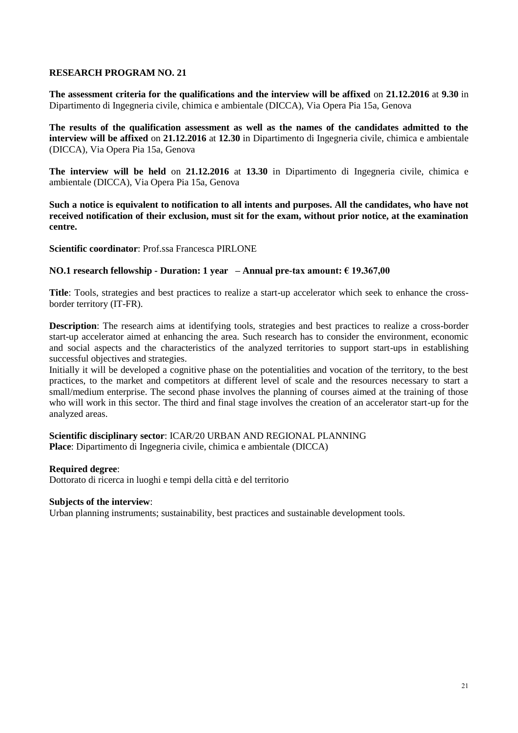**The assessment criteria for the qualifications and the interview will be affixed** on **21.12.2016** at **9.30** in Dipartimento di Ingegneria civile, chimica e ambientale (DICCA), Via Opera Pia 15a, Genova

**The results of the qualification assessment as well as the names of the candidates admitted to the interview will be affixed** on **21.12.2016** at **12.30** in Dipartimento di Ingegneria civile, chimica e ambientale (DICCA), Via Opera Pia 15a, Genova

**The interview will be held** on **21.12.2016** at **13.30** in Dipartimento di Ingegneria civile, chimica e ambientale (DICCA), Via Opera Pia 15a, Genova

**Such a notice is equivalent to notification to all intents and purposes. All the candidates, who have not received notification of their exclusion, must sit for the exam, without prior notice, at the examination centre.**

**Scientific coordinator**: Prof.ssa Francesca PIRLONE

### **NO.1 research fellowship - Duration: 1 year – Annual pre-tax amount: € 19.367,00**

**Title**: Tools, strategies and best practices to realize a start-up accelerator which seek to enhance the crossborder territory (IT-FR).

**Description**: The research aims at identifying tools, strategies and best practices to realize a cross-border start-up accelerator aimed at enhancing the area. Such research has to consider the environment, economic and social aspects and the characteristics of the analyzed territories to support start-ups in establishing successful objectives and strategies.

Initially it will be developed a cognitive phase on the potentialities and vocation of the territory, to the best practices, to the market and competitors at different level of scale and the resources necessary to start a small/medium enterprise. The second phase involves the planning of courses aimed at the training of those who will work in this sector. The third and final stage involves the creation of an accelerator start-up for the analyzed areas.

**Scientific disciplinary sector**: ICAR/20 URBAN AND REGIONAL PLANNING **Place**: Dipartimento di Ingegneria civile, chimica e ambientale (DICCA)

### **Required degree**:

Dottorato di ricerca in luoghi e tempi della città e del territorio

### **Subjects of the interview**:

Urban planning instruments; sustainability, best practices and sustainable development tools.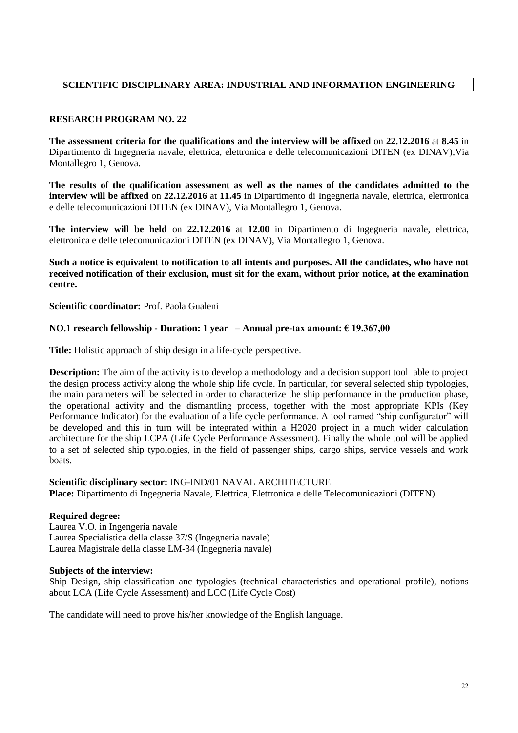# **SCIENTIFIC DISCIPLINARY AREA: INDUSTRIAL AND INFORMATION ENGINEERING**

# **RESEARCH PROGRAM NO. 22**

**The assessment criteria for the qualifications and the interview will be affixed** on **22.12.2016** at **8.45** in Dipartimento di Ingegneria navale, elettrica, elettronica e delle telecomunicazioni DITEN (ex DINAV),Via Montallegro 1, Genova.

**The results of the qualification assessment as well as the names of the candidates admitted to the interview will be affixed** on **22.12.2016** at **11.45** in Dipartimento di Ingegneria navale, elettrica, elettronica e delle telecomunicazioni DITEN (ex DINAV), Via Montallegro 1, Genova.

**The interview will be held** on **22.12.2016** at **12.00** in Dipartimento di Ingegneria navale, elettrica, elettronica e delle telecomunicazioni DITEN (ex DINAV), Via Montallegro 1, Genova.

**Such a notice is equivalent to notification to all intents and purposes. All the candidates, who have not received notification of their exclusion, must sit for the exam, without prior notice, at the examination centre.**

**Scientific coordinator:** Prof. Paola Gualeni

# **NO.1 research fellowship - Duration: 1 year – Annual pre-tax amount: € 19.367,00**

**Title:** Holistic approach of ship design in a life-cycle perspective.

**Description:** The aim of the activity is to develop a methodology and a decision support tool able to project the design process activity along the whole ship life cycle. In particular, for several selected ship typologies, the main parameters will be selected in order to characterize the ship performance in the production phase, the operational activity and the dismantling process, together with the most appropriate KPIs (Key Performance Indicator) for the evaluation of a life cycle performance. A tool named "ship configurator" will be developed and this in turn will be integrated within a H2020 project in a much wider calculation architecture for the ship LCPA (Life Cycle Performance Assessment). Finally the whole tool will be applied to a set of selected ship typologies, in the field of passenger ships, cargo ships, service vessels and work boats.

### **Scientific disciplinary sector:** ING-IND/01 NAVAL ARCHITECTURE

**Place:** Dipartimento di Ingegneria Navale, Elettrica, Elettronica e delle Telecomunicazioni (DITEN)

### **Required degree:**

Laurea V.O. in Ingengeria navale Laurea Specialistica della classe 37/S (Ingegneria navale) Laurea Magistrale della classe LM-34 (Ingegneria navale)

### **Subjects of the interview:**

Ship Design, ship classification anc typologies (technical characteristics and operational profile), notions about LCA (Life Cycle Assessment) and LCC (Life Cycle Cost)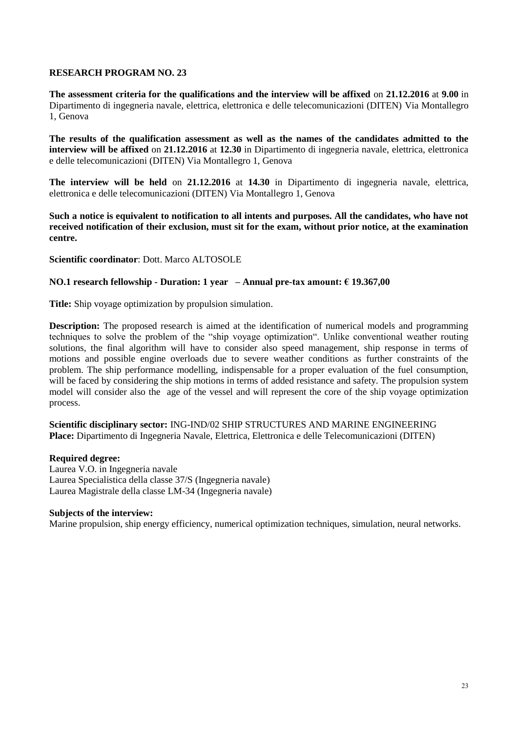**The assessment criteria for the qualifications and the interview will be affixed** on **21.12.2016** at **9.00** in Dipartimento di ingegneria navale, elettrica, elettronica e delle telecomunicazioni (DITEN) Via Montallegro 1, Genova

**The results of the qualification assessment as well as the names of the candidates admitted to the interview will be affixed** on **21.12.2016** at **12.30** in Dipartimento di ingegneria navale, elettrica, elettronica e delle telecomunicazioni (DITEN) Via Montallegro 1, Genova

**The interview will be held** on **21.12.2016** at **14.30** in Dipartimento di ingegneria navale, elettrica, elettronica e delle telecomunicazioni (DITEN) Via Montallegro 1, Genova

**Such a notice is equivalent to notification to all intents and purposes. All the candidates, who have not received notification of their exclusion, must sit for the exam, without prior notice, at the examination centre.**

**Scientific coordinator**: Dott. Marco ALTOSOLE

### **NO.1 research fellowship - Duration: 1 year – Annual pre-tax amount: € 19.367,00**

**Title:** Ship voyage optimization by propulsion simulation.

**Description:** The proposed research is aimed at the identification of numerical models and programming techniques to solve the problem of the "ship voyage optimization". Unlike conventional weather routing solutions, the final algorithm will have to consider also speed management, ship response in terms of motions and possible engine overloads due to severe weather conditions as further constraints of the problem. The ship performance modelling, indispensable for a proper evaluation of the fuel consumption, will be faced by considering the ship motions in terms of added resistance and safety. The propulsion system model will consider also the age of the vessel and will represent the core of the ship voyage optimization process.

**Scientific disciplinary sector:** ING-IND/02 SHIP STRUCTURES AND MARINE ENGINEERING **Place:** Dipartimento di Ingegneria Navale, Elettrica, Elettronica e delle Telecomunicazioni (DITEN)

### **Required degree:**

Laurea V.O. in Ingegneria navale Laurea Specialistica della classe 37/S (Ingegneria navale) Laurea Magistrale della classe LM-34 (Ingegneria navale)

### **Subjects of the interview:**

Marine propulsion, ship energy efficiency, numerical optimization techniques, simulation, neural networks.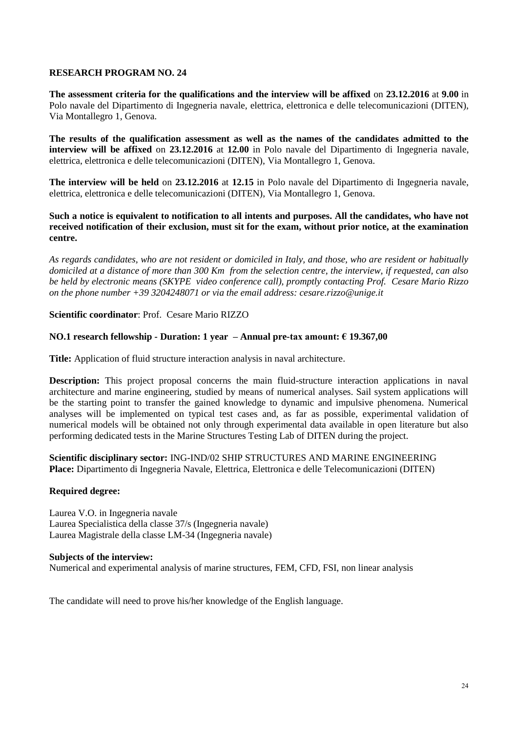**The assessment criteria for the qualifications and the interview will be affixed** on **23.12.2016** at **9.00** in Polo navale del Dipartimento di Ingegneria navale, elettrica, elettronica e delle telecomunicazioni (DITEN), Via Montallegro 1, Genova.

**The results of the qualification assessment as well as the names of the candidates admitted to the interview will be affixed** on **23.12.2016** at **12.00** in Polo navale del Dipartimento di Ingegneria navale, elettrica, elettronica e delle telecomunicazioni (DITEN), Via Montallegro 1, Genova.

**The interview will be held** on **23.12.2016** at **12.15** in Polo navale del Dipartimento di Ingegneria navale, elettrica, elettronica e delle telecomunicazioni (DITEN), Via Montallegro 1, Genova.

**Such a notice is equivalent to notification to all intents and purposes. All the candidates, who have not received notification of their exclusion, must sit for the exam, without prior notice, at the examination centre.**

*As regards candidates, who are not resident or domiciled in Italy, and those, who are resident or habitually domiciled at a distance of more than 300 Km from the selection centre, the interview, if requested, can also be held by electronic means (SKYPE video conference call), promptly contacting Prof. Cesare Mario Rizzo on the phone number +39 3204248071 or via the email address: cesare.rizzo@unige.it*

**Scientific coordinator**: Prof. Cesare Mario RIZZO

# **NO.1 research fellowship - Duration: 1 year – Annual pre-tax amount: € 19.367,00**

**Title:** Application of fluid structure interaction analysis in naval architecture.

**Description:** This project proposal concerns the main fluid-structure interaction applications in naval architecture and marine engineering, studied by means of numerical analyses. Sail system applications will be the starting point to transfer the gained knowledge to dynamic and impulsive phenomena. Numerical analyses will be implemented on typical test cases and, as far as possible, experimental validation of numerical models will be obtained not only through experimental data available in open literature but also performing dedicated tests in the Marine Structures Testing Lab of DITEN during the project.

**Scientific disciplinary sector:** ING-IND/02 SHIP STRUCTURES AND MARINE ENGINEERING **Place:** Dipartimento di Ingegneria Navale, Elettrica, Elettronica e delle Telecomunicazioni (DITEN)

### **Required degree:**

Laurea V.O. in Ingegneria navale Laurea Specialistica della classe 37/s (Ingegneria navale) Laurea Magistrale della classe LM-34 (Ingegneria navale)

### **Subjects of the interview:**

Numerical and experimental analysis of marine structures, FEM, CFD, FSI, non linear analysis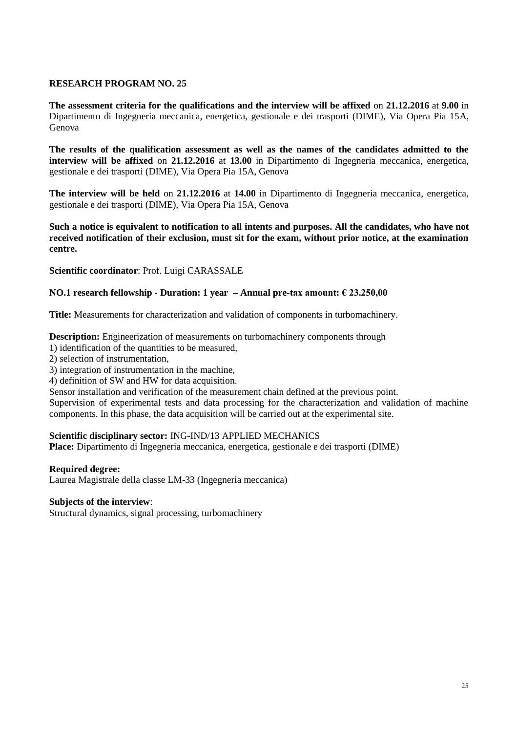**The assessment criteria for the qualifications and the interview will be affixed** on **21.12.2016** at **9.00** in Dipartimento di Ingegneria meccanica, energetica, gestionale e dei trasporti (DIME), Via Opera Pia 15A, Genova

**The results of the qualification assessment as well as the names of the candidates admitted to the interview will be affixed** on **21.12.2016** at **13.00** in Dipartimento di Ingegneria meccanica, energetica, gestionale e dei trasporti (DIME), Via Opera Pia 15A, Genova

**The interview will be held** on **21.12.2016** at **14.00** in Dipartimento di Ingegneria meccanica, energetica, gestionale e dei trasporti (DIME), Via Opera Pia 15A, Genova

**Such a notice is equivalent to notification to all intents and purposes. All the candidates, who have not received notification of their exclusion, must sit for the exam, without prior notice, at the examination centre.**

**Scientific coordinator**: Prof. Luigi CARASSALE

### **NO.1 research fellowship - Duration: 1 year – Annual pre-tax amount: € 23.250,00**

**Title:** Measurements for characterization and validation of components in turbomachinery.

**Description:** Engineerization of measurements on turbomachinery components through

- 1) identification of the quantities to be measured,
- 2) selection of instrumentation,
- 3) integration of instrumentation in the machine,
- 4) definition of SW and HW for data acquisition.

Sensor installation and verification of the measurement chain defined at the previous point.

Supervision of experimental tests and data processing for the characterization and validation of machine components. In this phase, the data acquisition will be carried out at the experimental site.

### **Scientific disciplinary sector:** ING-IND/13 APPLIED MECHANICS

**Place:** Dipartimento di Ingegneria meccanica, energetica, gestionale e dei trasporti (DIME)

### **Required degree:**

Laurea Magistrale della classe LM-33 (Ingegneria meccanica)

### **Subjects of the interview**:

Structural dynamics, signal processing, turbomachinery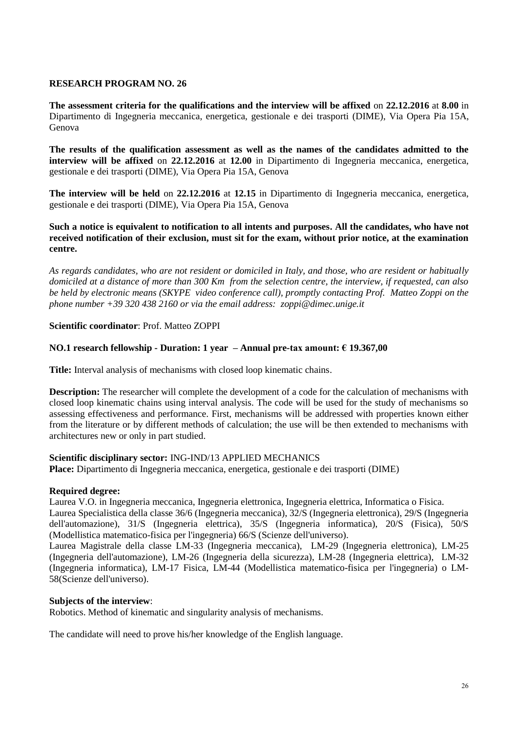**The assessment criteria for the qualifications and the interview will be affixed** on **22.12.2016** at **8.00** in Dipartimento di Ingegneria meccanica, energetica, gestionale e dei trasporti (DIME), Via Opera Pia 15A, Genova

**The results of the qualification assessment as well as the names of the candidates admitted to the interview will be affixed** on **22.12.2016** at **12.00** in Dipartimento di Ingegneria meccanica, energetica, gestionale e dei trasporti (DIME), Via Opera Pia 15A, Genova

**The interview will be held** on **22.12.2016** at **12.15** in Dipartimento di Ingegneria meccanica, energetica, gestionale e dei trasporti (DIME), Via Opera Pia 15A, Genova

### **Such a notice is equivalent to notification to all intents and purposes. All the candidates, who have not received notification of their exclusion, must sit for the exam, without prior notice, at the examination centre.**

*As regards candidates, who are not resident or domiciled in Italy, and those, who are resident or habitually domiciled at a distance of more than 300 Km from the selection centre, the interview, if requested, can also be held by electronic means (SKYPE video conference call), promptly contacting Prof. Matteo Zoppi on the phone number +39 320 438 2160 or via the email address: zoppi@dimec.unige.it*

# **Scientific coordinator**: Prof. Matteo ZOPPI

# **NO.1 research fellowship - Duration: 1 year – Annual pre-tax amount: € 19.367,00**

**Title:** Interval analysis of mechanisms with closed loop kinematic chains.

**Description:** The researcher will complete the development of a code for the calculation of mechanisms with closed loop kinematic chains using interval analysis. The code will be used for the study of mechanisms so assessing effectiveness and performance. First, mechanisms will be addressed with properties known either from the literature or by different methods of calculation; the use will be then extended to mechanisms with architectures new or only in part studied.

# **Scientific disciplinary sector:** ING-IND/13 APPLIED MECHANICS

**Place:** Dipartimento di Ingegneria meccanica, energetica, gestionale e dei trasporti (DIME)

### **Required degree:**

Laurea V.O. in Ingegneria meccanica, Ingegneria elettronica, Ingegneria elettrica, Informatica o Fisica. Laurea Specialistica della classe 36/6 (Ingegneria meccanica), 32/S (Ingegneria elettronica), 29/S (Ingegneria dell'automazione), 31/S (Ingegneria elettrica), 35/S (Ingegneria informatica), 20/S (Fisica), 50/S (Modellistica matematico-fisica per l'ingegneria) 66/S (Scienze dell'universo).

Laurea Magistrale della classe LM-33 (Ingegneria meccanica), LM-29 (Ingegneria elettronica), LM-25 (Ingegneria dell'automazione), LM-26 (Ingegneria della sicurezza), LM-28 (Ingegneria elettrica), LM-32 (Ingegneria informatica), LM-17 Fisica, LM-44 (Modellistica matematico-fisica per l'ingegneria) o LM-58(Scienze dell'universo).

### **Subjects of the interview**:

Robotics. Method of kinematic and singularity analysis of mechanisms.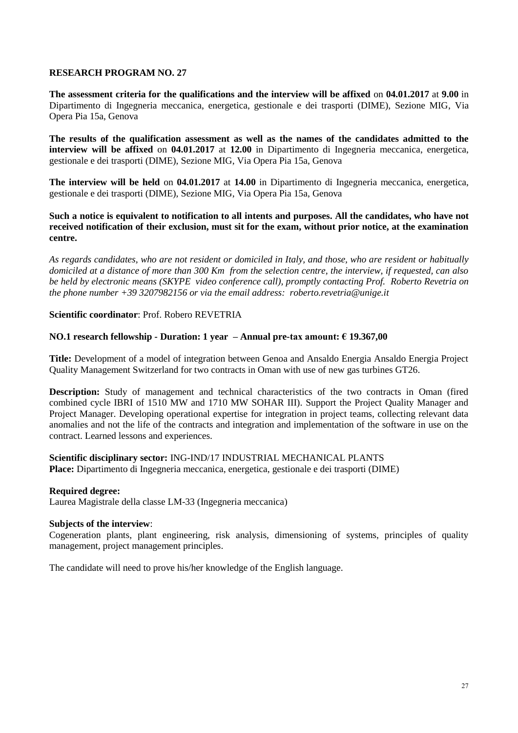**The assessment criteria for the qualifications and the interview will be affixed** on **04.01.2017** at **9.00** in Dipartimento di Ingegneria meccanica, energetica, gestionale e dei trasporti (DIME), Sezione MIG, Via Opera Pia 15a, Genova

**The results of the qualification assessment as well as the names of the candidates admitted to the interview will be affixed** on **04.01.2017** at **12.00** in Dipartimento di Ingegneria meccanica, energetica, gestionale e dei trasporti (DIME), Sezione MIG, Via Opera Pia 15a, Genova

**The interview will be held** on **04.01.2017** at **14.00** in Dipartimento di Ingegneria meccanica, energetica, gestionale e dei trasporti (DIME), Sezione MIG, Via Opera Pia 15a, Genova

**Such a notice is equivalent to notification to all intents and purposes. All the candidates, who have not received notification of their exclusion, must sit for the exam, without prior notice, at the examination centre.**

*As regards candidates, who are not resident or domiciled in Italy, and those, who are resident or habitually domiciled at a distance of more than 300 Km from the selection centre, the interview, if requested, can also be held by electronic means (SKYPE video conference call), promptly contacting Prof. Roberto Revetria on the phone number +39 3207982156 or via the email address: roberto.revetria@unige.it*

### **Scientific coordinator**: Prof. Robero REVETRIA

### **NO.1 research fellowship - Duration: 1 year – Annual pre-tax amount: € 19.367,00**

**Title:** Development of a model of integration between Genoa and Ansaldo Energia Ansaldo Energia Project Quality Management Switzerland for two contracts in Oman with use of new gas turbines GT26.

**Description:** Study of management and technical characteristics of the two contracts in Oman (fired combined cycle IBRI of 1510 MW and 1710 MW SOHAR III). Support the Project Quality Manager and Project Manager. Developing operational expertise for integration in project teams, collecting relevant data anomalies and not the life of the contracts and integration and implementation of the software in use on the contract. Learned lessons and experiences.

# **Scientific disciplinary sector:** ING-IND/17 INDUSTRIAL MECHANICAL PLANTS

**Place:** Dipartimento di Ingegneria meccanica, energetica, gestionale e dei trasporti (DIME)

### **Required degree:**

Laurea Magistrale della classe LM-33 (Ingegneria meccanica)

### **Subjects of the interview**:

Cogeneration plants, plant engineering, risk analysis, dimensioning of systems, principles of quality management, project management principles.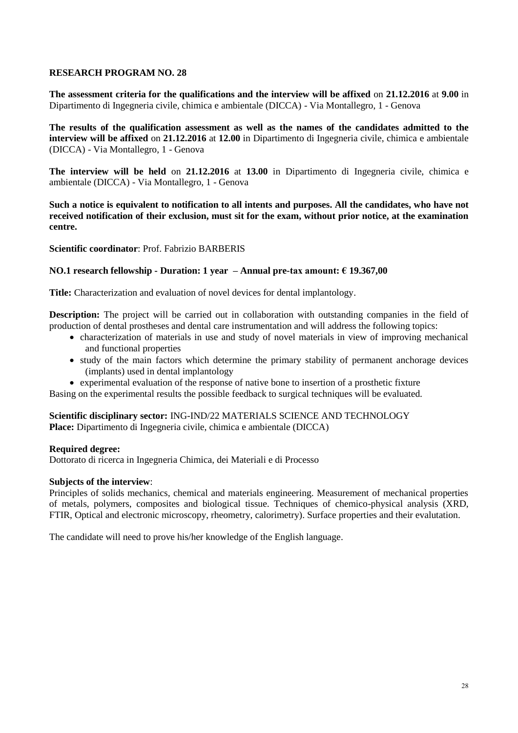**The assessment criteria for the qualifications and the interview will be affixed** on **21.12.2016** at **9.00** in [Dipartimento di Ingegneria civile, chimica e ambientale \(DICCA\)](https://unige.it/strutture/ou/staff/DICCA) - Via Montallegro, 1 - Genova

**The results of the qualification assessment as well as the names of the candidates admitted to the interview will be affixed** on **21.12.2016** at **12.00** in [Dipartimento di Ingegneria civile, chimica e ambientale](https://unige.it/strutture/ou/staff/DICCA)  [\(DICCA\)](https://unige.it/strutture/ou/staff/DICCA) - Via Montallegro, 1 - Genova

**The interview will be held** on **21.12.2016** at **13.00** in [Dipartimento di Ingegneria civile, chimica e](https://unige.it/strutture/ou/staff/DICCA)  [ambientale \(DICCA\)](https://unige.it/strutture/ou/staff/DICCA) - Via Montallegro, 1 - Genova

**Such a notice is equivalent to notification to all intents and purposes. All the candidates, who have not received notification of their exclusion, must sit for the exam, without prior notice, at the examination centre.**

**Scientific coordinator**: Prof. Fabrizio BARBERIS

### **NO.1 research fellowship - Duration: 1 year – Annual pre-tax amount: € 19.367,00**

**Title:** Characterization and evaluation of novel devices for dental implantology.

**Description:** The project will be carried out in collaboration with outstanding companies in the field of production of dental prostheses and dental care instrumentation and will address the following topics:

- characterization of materials in use and study of novel materials in view of improving mechanical and functional properties
- study of the main factors which determine the primary stability of permanent anchorage devices (implants) used in dental implantology
- experimental evaluation of the response of native bone to insertion of a prosthetic fixture

Basing on the experimental results the possible feedback to surgical techniques will be evaluated.

**Scientific disciplinary sector:** ING-IND/22 MATERIALS SCIENCE AND TECHNOLOGY **Place:** [Dipartimento di Ingegneria civile, chimica e ambientale \(DICCA\)](https://unige.it/strutture/ou/staff/DICCA)

### **Required degree:**

Dottorato di ricerca in Ingegneria Chimica, dei Materiali e di Processo

### **Subjects of the interview**:

Principles of solids mechanics, chemical and materials engineering. Measurement of mechanical properties of metals, polymers, composites and biological tissue. Techniques of chemico-physical analysis (XRD, FTIR, Optical and electronic microscopy, rheometry, calorimetry). Surface properties and their evalutation.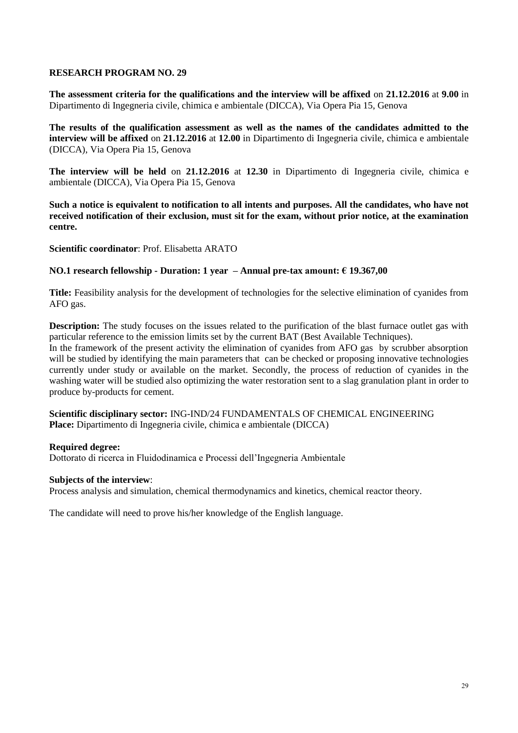**The assessment criteria for the qualifications and the interview will be affixed** on **21.12.2016** at **9.00** in [Dipartimento di Ingegneria civile, chimica e ambientale \(DICCA\),](https://unige.it/strutture/ou/staff/DICCA) Via Opera Pia 15, Genova

**The results of the qualification assessment as well as the names of the candidates admitted to the interview will be affixed** on **21.12.2016** at **12.00** in [Dipartimento di Ingegneria civile, chimica e ambientale](https://unige.it/strutture/ou/staff/DICCA)  [\(DICCA\),](https://unige.it/strutture/ou/staff/DICCA) Via Opera Pia 15, Genova

**The interview will be held** on **21.12.2016** at **12.30** in [Dipartimento di Ingegneria civile, chimica e](https://unige.it/strutture/ou/staff/DICCA)  [ambientale \(DICCA\),](https://unige.it/strutture/ou/staff/DICCA) Via Opera Pia 15, Genova

**Such a notice is equivalent to notification to all intents and purposes. All the candidates, who have not received notification of their exclusion, must sit for the exam, without prior notice, at the examination centre.**

**Scientific coordinator**: Prof. Elisabetta ARATO

### **NO.1 research fellowship - Duration: 1 year – Annual pre-tax amount: € 19.367,00**

**Title:** Feasibility analysis for the development of technologies for the selective elimination of cyanides from AFO gas.

**Description:** The study focuses on the issues related to the purification of the blast furnace outlet gas with particular reference to the emission limits set by the current BAT (Best Available Techniques). In the framework of the present activity the elimination of cyanides from AFO gas by scrubber absorption

will be studied by identifying the main parameters that can be checked or proposing innovative technologies currently under study or available on the market. Secondly, the process of reduction of cyanides in the washing water will be studied also optimizing the water restoration sent to a slag granulation plant in order to produce by-products for cement.

**Scientific disciplinary sector:** ING-IND/24 FUNDAMENTALS OF CHEMICAL ENGINEERING **Place:** [Dipartimento di Ingegneria civile, chimica e ambientale \(DICCA\)](https://unige.it/strutture/ou/staff/DICCA)

### **Required degree:**

Dottorato di ricerca in Fluidodinamica e Processi dell'Ingegneria Ambientale

### **Subjects of the interview**:

Process analysis and simulation, chemical thermodynamics and kinetics, chemical reactor theory.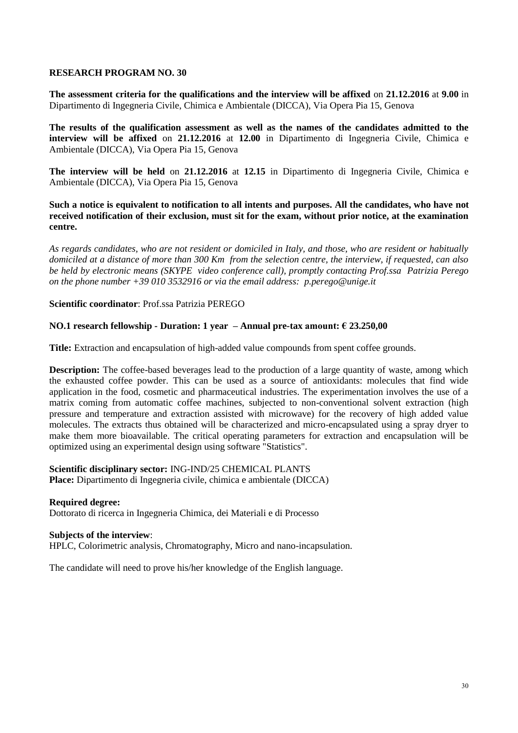**The assessment criteria for the qualifications and the interview will be affixed** on **21.12.2016** at **9.00** in Dipartimento di Ingegneria Civile, Chimica e Ambientale (DICCA), Via Opera Pia 15, Genova

**The results of the qualification assessment as well as the names of the candidates admitted to the interview will be affixed** on **21.12.2016** at **12.00** in Dipartimento di Ingegneria Civile, Chimica e Ambientale (DICCA), Via Opera Pia 15, Genova

**The interview will be held** on **21.12.2016** at **12.15** in Dipartimento di Ingegneria Civile, Chimica e Ambientale (DICCA), Via Opera Pia 15, Genova

**Such a notice is equivalent to notification to all intents and purposes. All the candidates, who have not received notification of their exclusion, must sit for the exam, without prior notice, at the examination centre.**

*As regards candidates, who are not resident or domiciled in Italy, and those, who are resident or habitually domiciled at a distance of more than 300 Km from the selection centre, the interview, if requested, can also be held by electronic means (SKYPE video conference call), promptly contacting Prof.ssa Patrizia Perego on the phone number +39 010 3532916 or via the email address: p.perego@unige.it*

**Scientific coordinator**: Prof.ssa Patrizia PEREGO

### **NO.1 research fellowship - Duration: 1 year – Annual pre-tax amount: € 23.250,00**

**Title:** Extraction and encapsulation of high-added value compounds from spent coffee grounds.

**Description:** The coffee-based beverages lead to the production of a large quantity of waste, among which the exhausted coffee powder. This can be used as a source of antioxidants: molecules that find wide application in the food, cosmetic and pharmaceutical industries. The experimentation involves the use of a matrix coming from automatic coffee machines, subjected to non-conventional solvent extraction (high pressure and temperature and extraction assisted with microwave) for the recovery of high added value molecules. The extracts thus obtained will be characterized and micro-encapsulated using a spray dryer to make them more bioavailable. The critical operating parameters for extraction and encapsulation will be optimized using an experimental design using software "Statistics".

**Scientific disciplinary sector:** ING-IND/25 CHEMICAL PLANTS **Place:** [Dipartimento di Ingegneria civile, chimica e ambientale \(DICCA\)](https://unige.it/strutture/ou/staff/DICCA)

### **Required degree:**

Dottorato di ricerca in Ingegneria Chimica, dei Materiali e di Processo

### **Subjects of the interview**:

HPLC, Colorimetric analysis, Chromatography, Micro and nano-incapsulation.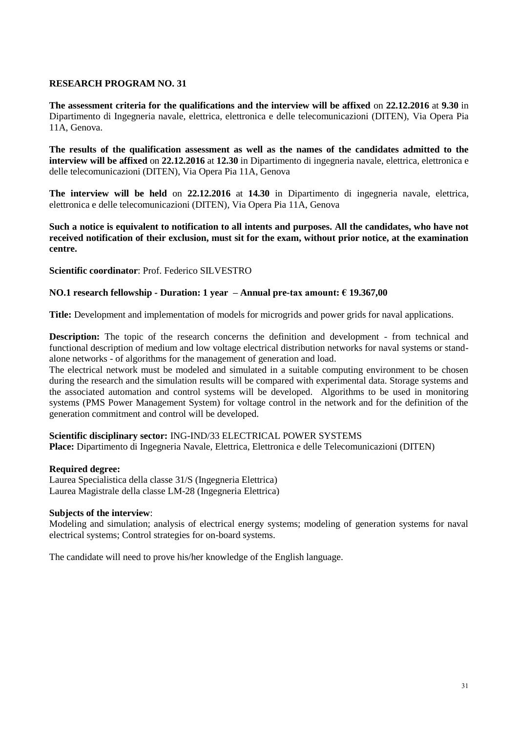**The assessment criteria for the qualifications and the interview will be affixed** on **22.12.2016** at **9.30** in Dipartimento di Ingegneria navale, elettrica, elettronica e delle telecomunicazioni (DITEN), Via Opera Pia 11A, Genova.

**The results of the qualification assessment as well as the names of the candidates admitted to the interview will be affixed** on **22.12.2016** at **12.30** in Dipartimento di ingegneria navale, elettrica, elettronica e delle telecomunicazioni (DITEN), Via Opera Pia 11A, Genova

**The interview will be held** on **22.12.2016** at **14.30** in Dipartimento di ingegneria navale, elettrica, elettronica e delle telecomunicazioni (DITEN), Via Opera Pia 11A, Genova

**Such a notice is equivalent to notification to all intents and purposes. All the candidates, who have not received notification of their exclusion, must sit for the exam, without prior notice, at the examination centre.**

**Scientific coordinator**: Prof. Federico SILVESTRO

# **NO.1 research fellowship - Duration: 1 year – Annual pre-tax amount: € 19.367,00**

**Title:** Development and implementation of models for microgrids and power grids for naval applications.

**Description:** The topic of the research concerns the definition and development - from technical and functional description of medium and low voltage electrical distribution networks for naval systems or standalone networks - of algorithms for the management of generation and load.

The electrical network must be modeled and simulated in a suitable computing environment to be chosen during the research and the simulation results will be compared with experimental data. Storage systems and the associated automation and control systems will be developed. Algorithms to be used in monitoring systems (PMS Power Management System) for voltage control in the network and for the definition of the generation commitment and control will be developed.

### **Scientific disciplinary sector:** ING-IND/33 ELECTRICAL POWER SYSTEMS

**Place:** Dipartimento di Ingegneria Navale, Elettrica, Elettronica e delle Telecomunicazioni (DITEN)

### **Required degree:**

Laurea Specialistica della classe 31/S (Ingegneria Elettrica) Laurea Magistrale della classe LM-28 (Ingegneria Elettrica)

### **Subjects of the interview**:

Modeling and simulation; analysis of electrical energy systems; modeling of generation systems for naval electrical systems; Control strategies for on-board systems.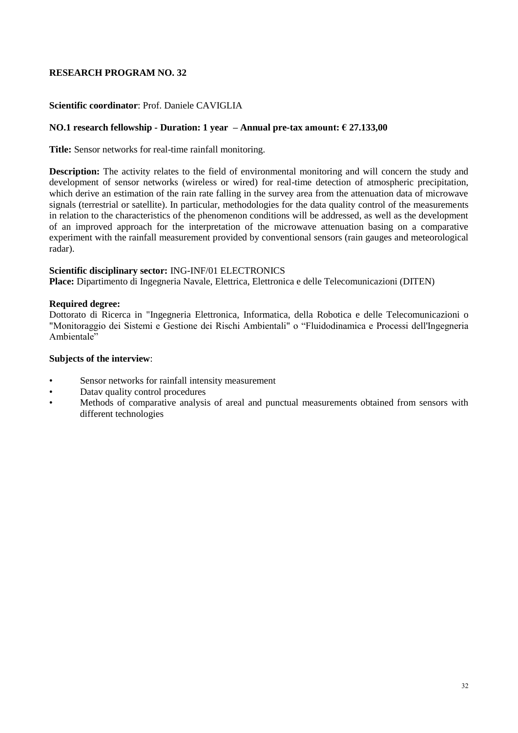# **Scientific coordinator**: Prof. Daniele CAVIGLIA

### **NO.1 research fellowship - Duration: 1 year – Annual pre-tax amount: € 27.133,00**

**Title:** Sensor networks for real-time rainfall monitoring.

**Description:** The activity relates to the field of environmental monitoring and will concern the study and development of sensor networks (wireless or wired) for real-time detection of atmospheric precipitation, which derive an estimation of the rain rate falling in the survey area from the attenuation data of microwave signals (terrestrial or satellite). In particular, methodologies for the data quality control of the measurements in relation to the characteristics of the phenomenon conditions will be addressed, as well as the development of an improved approach for the interpretation of the microwave attenuation basing on a comparative experiment with the rainfall measurement provided by conventional sensors (rain gauges and meteorological radar).

### **Scientific disciplinary sector:** ING-INF/01 ELECTRONICS

**Place:** Dipartimento di Ingegneria Navale, Elettrica, Elettronica e delle Telecomunicazioni (DITEN)

### **Required degree:**

Dottorato di Ricerca in "Ingegneria Elettronica, Informatica, della Robotica e delle Telecomunicazioni o "Monitoraggio dei Sistemi e Gestione dei Rischi Ambientali" o "Fluidodinamica e Processi dell'Ingegneria Ambientale"

### **Subjects of the interview**:

- Sensor networks for rainfall intensity measurement
- Datav quality control procedures
- Methods of comparative analysis of areal and punctual measurements obtained from sensors with different technologies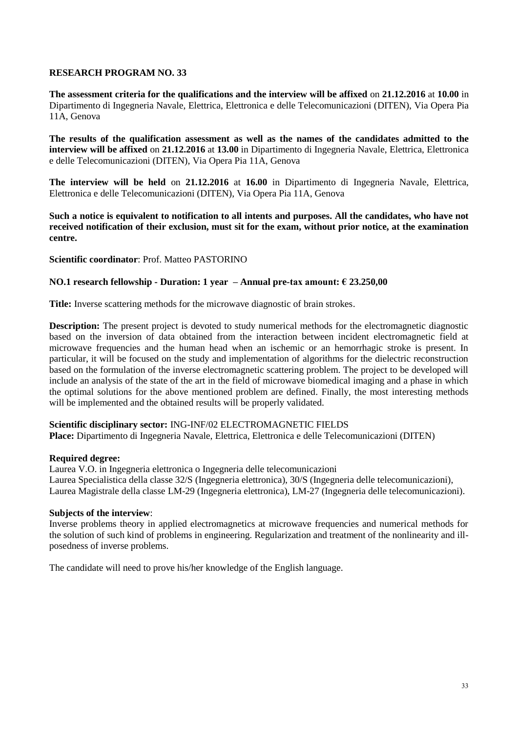**The assessment criteria for the qualifications and the interview will be affixed** on **21.12.2016** at **10.00** in Dipartimento di Ingegneria Navale, Elettrica, Elettronica e delle Telecomunicazioni (DITEN), Via Opera Pia 11A, Genova

**The results of the qualification assessment as well as the names of the candidates admitted to the interview will be affixed** on **21.12.2016** at **13.00** in Dipartimento di Ingegneria Navale, Elettrica, Elettronica e delle Telecomunicazioni (DITEN), Via Opera Pia 11A, Genova

**The interview will be held** on **21.12.2016** at **16.00** in Dipartimento di Ingegneria Navale, Elettrica, Elettronica e delle Telecomunicazioni (DITEN), Via Opera Pia 11A, Genova

**Such a notice is equivalent to notification to all intents and purposes. All the candidates, who have not received notification of their exclusion, must sit for the exam, without prior notice, at the examination centre.**

**Scientific coordinator**: Prof. Matteo PASTORINO

### **NO.1 research fellowship - Duration: 1 year – Annual pre-tax amount: € 23.250,00**

**Title:** Inverse scattering methods for the microwave diagnostic of brain strokes.

**Description:** The present project is devoted to study numerical methods for the electromagnetic diagnostic based on the inversion of data obtained from the interaction between incident electromagnetic field at microwave frequencies and the human head when an ischemic or an hemorrhagic stroke is present. In particular, it will be focused on the study and implementation of algorithms for the dielectric reconstruction based on the formulation of the inverse electromagnetic scattering problem. The project to be developed will include an analysis of the state of the art in the field of microwave biomedical imaging and a phase in which the optimal solutions for the above mentioned problem are defined. Finally, the most interesting methods will be implemented and the obtained results will be properly validated.

### **Scientific disciplinary sector:** ING-INF/02 ELECTROMAGNETIC FIELDS

**Place:** Dipartimento di Ingegneria Navale, Elettrica, Elettronica e delle Telecomunicazioni (DITEN)

### **Required degree:**

Laurea V.O. in Ingegneria elettronica o Ingegneria delle telecomunicazioni Laurea Specialistica della classe 32/S (Ingegneria elettronica), 30/S (Ingegneria delle telecomunicazioni), Laurea Magistrale della classe LM-29 (Ingegneria elettronica), LM-27 (Ingegneria delle telecomunicazioni).

### **Subjects of the interview**:

Inverse problems theory in applied electromagnetics at microwave frequencies and numerical methods for the solution of such kind of problems in engineering. Regularization and treatment of the nonlinearity and illposedness of inverse problems.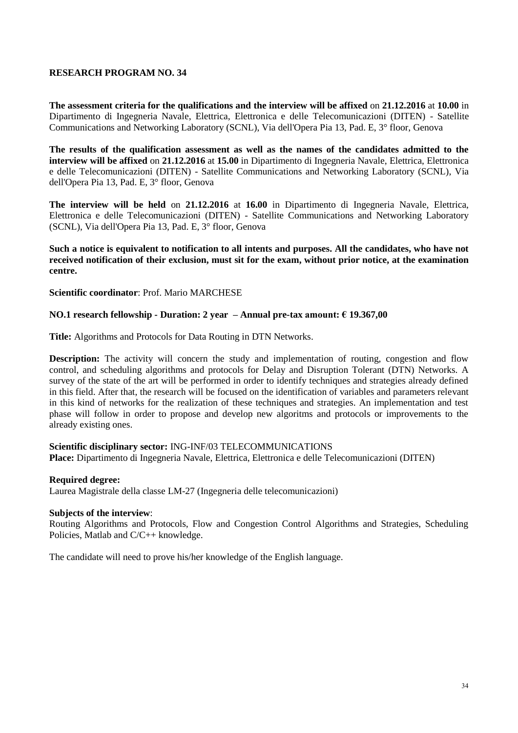**The assessment criteria for the qualifications and the interview will be affixed** on **21.12.2016** at **10.00** in Dipartimento di Ingegneria Navale, Elettrica, Elettronica e delle Telecomunicazioni (DITEN) - Satellite Communications and Networking Laboratory (SCNL), Via dell'Opera Pia 13, Pad. E, 3° floor, Genova

**The results of the qualification assessment as well as the names of the candidates admitted to the interview will be affixed** on **21.12.2016** at **15.00** in Dipartimento di Ingegneria Navale, Elettrica, Elettronica e delle Telecomunicazioni (DITEN) - Satellite Communications and Networking Laboratory (SCNL), Via dell'Opera Pia 13, Pad. E, 3° floor, Genova

**The interview will be held** on **21.12.2016** at **16.00** in Dipartimento di Ingegneria Navale, Elettrica, Elettronica e delle Telecomunicazioni (DITEN) - Satellite Communications and Networking Laboratory (SCNL), Via dell'Opera Pia 13, Pad. E, 3° floor, Genova

**Such a notice is equivalent to notification to all intents and purposes. All the candidates, who have not received notification of their exclusion, must sit for the exam, without prior notice, at the examination centre.**

**Scientific coordinator**: Prof. Mario MARCHESE

### **NO.1 research fellowship - Duration: 2 year – Annual pre-tax amount: € 19.367,00**

**Title:** Algorithms and Protocols for Data Routing in DTN Networks.

**Description:** The activity will concern the study and implementation of routing, congestion and flow control, and scheduling algorithms and protocols for Delay and Disruption Tolerant (DTN) Networks. A survey of the state of the art will be performed in order to identify techniques and strategies already defined in this field. After that, the research will be focused on the identification of variables and parameters relevant in this kind of networks for the realization of these techniques and strategies. An implementation and test phase will follow in order to propose and develop new algoritms and protocols or improvements to the already existing ones.

**Scientific disciplinary sector:** ING-INF/03 TELECOMMUNICATIONS **Place:** Dipartimento di Ingegneria Navale, Elettrica, Elettronica e delle Telecomunicazioni (DITEN)

### **Required degree:**

Laurea Magistrale della classe LM-27 (Ingegneria delle telecomunicazioni)

### **Subjects of the interview**:

Routing Algorithms and Protocols, Flow and Congestion Control Algorithms and Strategies, Scheduling Policies, Matlab and C/C++ knowledge.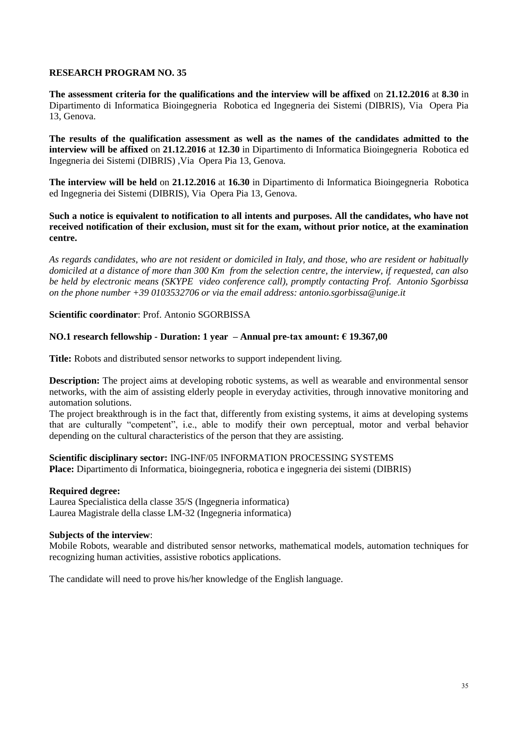**The assessment criteria for the qualifications and the interview will be affixed** on **21.12.2016** at **8.30** in Dipartimento di Informatica Bioingegneria Robotica ed Ingegneria dei Sistemi (DIBRIS), Via Opera Pia 13, Genova.

**The results of the qualification assessment as well as the names of the candidates admitted to the interview will be affixed** on **21.12.2016** at **12.30** in Dipartimento di Informatica Bioingegneria Robotica ed Ingegneria dei Sistemi (DIBRIS) ,Via Opera Pia 13, Genova.

**The interview will be held** on **21.12.2016** at **16.30** in Dipartimento di Informatica Bioingegneria Robotica ed Ingegneria dei Sistemi (DIBRIS), Via Opera Pia 13, Genova.

**Such a notice is equivalent to notification to all intents and purposes. All the candidates, who have not received notification of their exclusion, must sit for the exam, without prior notice, at the examination centre.**

*As regards candidates, who are not resident or domiciled in Italy, and those, who are resident or habitually domiciled at a distance of more than 300 Km from the selection centre, the interview, if requested, can also be held by electronic means (SKYPE video conference call), promptly contacting Prof. Antonio Sgorbissa on the phone number +39 0103532706 or via the email address: antonio.sgorbissa@unige.it*

**Scientific coordinator**: Prof. Antonio SGORBISSA

### **NO.1 research fellowship - Duration: 1 year – Annual pre-tax amount: € 19.367,00**

**Title:** Robots and distributed sensor networks to support independent living.

**Description:** The project aims at developing robotic systems, as well as wearable and environmental sensor networks, with the aim of assisting elderly people in everyday activities, through innovative monitoring and automation solutions.

The project breakthrough is in the fact that, differently from existing systems, it aims at developing systems that are culturally "competent", i.e., able to modify their own perceptual, motor and verbal behavior depending on the cultural characteristics of the person that they are assisting.

### **Scientific disciplinary sector:** ING-INF/05 INFORMATION PROCESSING SYSTEMS

**Place:** Dipartimento di Informatica, bioingegneria, robotica e ingegneria dei sistemi (DIBRIS)

### **Required degree:**

Laurea Specialistica della classe 35/S (Ingegneria informatica) Laurea Magistrale della classe LM-32 (Ingegneria informatica)

### **Subjects of the interview**:

Mobile Robots, wearable and distributed sensor networks, mathematical models, automation techniques for recognizing human activities, assistive robotics applications.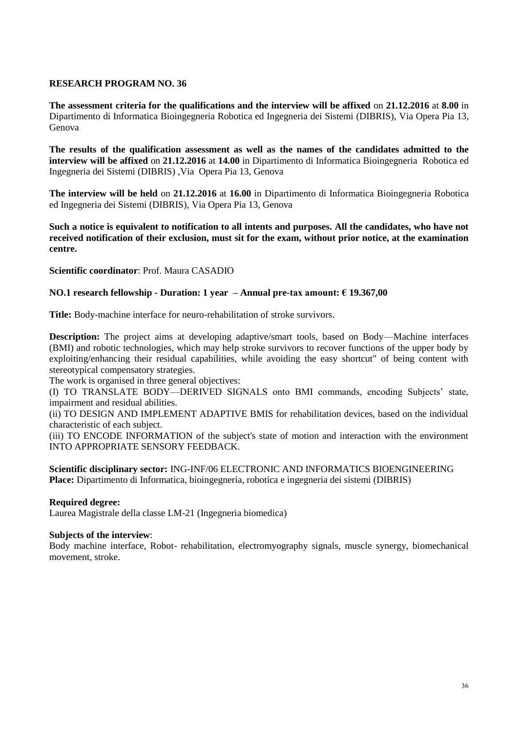**The assessment criteria for the qualifications and the interview will be affixed** on **21.12.2016** at **8.00** in Dipartimento di Informatica Bioingegneria Robotica ed Ingegneria dei Sistemi (DIBRIS), Via Opera Pia 13, Genova

**The results of the qualification assessment as well as the names of the candidates admitted to the interview will be affixed** on **21.12.2016** at **14.00** in Dipartimento di Informatica Bioingegneria Robotica ed Ingegneria dei Sistemi (DIBRIS) ,Via Opera Pia 13, Genova

**The interview will be held** on **21.12.2016** at **16.00** in Dipartimento di Informatica Bioingegneria Robotica ed Ingegneria dei Sistemi (DIBRIS), Via Opera Pia 13, Genova

**Such a notice is equivalent to notification to all intents and purposes. All the candidates, who have not received notification of their exclusion, must sit for the exam, without prior notice, at the examination centre.**

**Scientific coordinator**: Prof. Maura CASADIO

# **NO.1 research fellowship - Duration: 1 year – Annual pre-tax amount: € 19.367,00**

**Title:** Body-machine interface for neuro-rehabilitation of stroke survivors.

**Description:** The project aims at developing adaptive/smart tools, based on Body—Machine interfaces (BMI) and robotic technologies, which may help stroke survivors to recover functions of the upper body by exploiting/enhancing their residual capabilities, while avoiding the easy shortcut" of being content with stereotypical compensatory strategies.

The work is organised in three general objectives:

(I) TO TRANSLATE BODY—DERIVED SIGNALS onto BMI commands, encoding Subjects' state, impairment and residual abilities.

(ii) TO DESIGN AND IMPLEMENT ADAPTIVE BMIS for rehabilitation devices, based on the individual characteristic of each subject.

(iii) TO ENCODE INFORMATION of the subject's state of motion and interaction with the environment INTO APPROPRIATE SENSORY FEEDBACK.

**Scientific disciplinary sector:** ING-INF/06 ELECTRONIC AND INFORMATICS BIOENGINEERING **Place:** Dipartimento di Informatica, bioingegneria, robotica e ingegneria dei sistemi (DIBRIS)

### **Required degree:**

Laurea Magistrale della classe LM-21 (Ingegneria biomedica)

### **Subjects of the interview**:

Body machine interface, Robot- rehabilitation, electromyography signals, muscle synergy, biomechanical movement, stroke.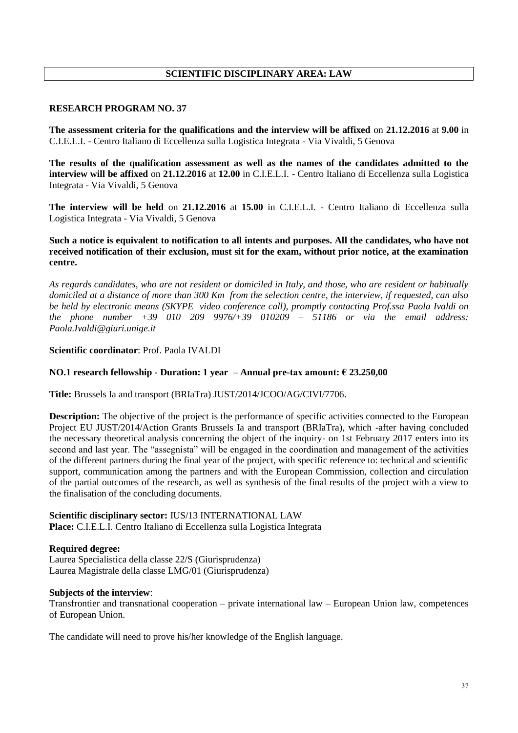# **SCIENTIFIC DISCIPLINARY AREA: LAW**

### **RESEARCH PROGRAM NO. 37**

**The assessment criteria for the qualifications and the interview will be affixed** on **21.12.2016** at **9.00** in C.I.E.L.I. - Centro Italiano di Eccellenza sulla Logistica Integrata - Via Vivaldi, 5 Genova

**The results of the qualification assessment as well as the names of the candidates admitted to the interview will be affixed** on **21.12.2016** at **12.00** in C.I.E.L.I. - Centro Italiano di Eccellenza sulla Logistica Integrata - Via Vivaldi, 5 Genova

**The interview will be held** on **21.12.2016** at **15.00** in C.I.E.L.I. - Centro Italiano di Eccellenza sulla Logistica Integrata - Via Vivaldi, 5 Genova

**Such a notice is equivalent to notification to all intents and purposes. All the candidates, who have not received notification of their exclusion, must sit for the exam, without prior notice, at the examination centre.**

*As regards candidates, who are not resident or domiciled in Italy, and those, who are resident or habitually domiciled at a distance of more than 300 Km from the selection centre, the interview, if requested, can also be held by electronic means (SKYPE video conference call), promptly contacting Prof.ssa Paola Ivaldi on the phone number +39 010 209 9976/+39 010209 – 51186 or via the email address: Paola.Ivaldi@giuri.unige.it*

# **Scientific coordinator**: Prof. Paola IVALDI

### **NO.1 research fellowship - Duration: 1 year – Annual pre-tax amount: € 23.250,00**

**Title:** Brussels Ia and transport (BRIaTra) JUST/2014/JCOO/AG/CIVI/7706.

**Description:** The objective of the project is the performance of specific activities connected to the European Project EU JUST/2014/Action Grants Brussels Ia and transport (BRIaTra), which -after having concluded the necessary theoretical analysis concerning the object of the inquiry- on 1st February 2017 enters into its second and last year. The "assegnista" will be engaged in the coordination and management of the activities of the different partners during the final year of the project, with specific reference to: technical and scientific support, communication among the partners and with the European Commission, collection and circulation of the partial outcomes of the research, as well as synthesis of the final results of the project with a view to the finalisation of the concluding documents.

# **Scientific disciplinary sector:** IUS/13 INTERNATIONAL LAW

**Place:** C.I.E.L.I. Centro Italiano di Eccellenza sulla Logistica Integrata

### **Required degree:**

Laurea Specialistica della classe 22/S (Giurisprudenza) Laurea Magistrale della classe LMG/01 (Giurisprudenza)

### **Subjects of the interview**:

Transfrontier and transnational cooperation – private international law – European Union law, competences of European Union.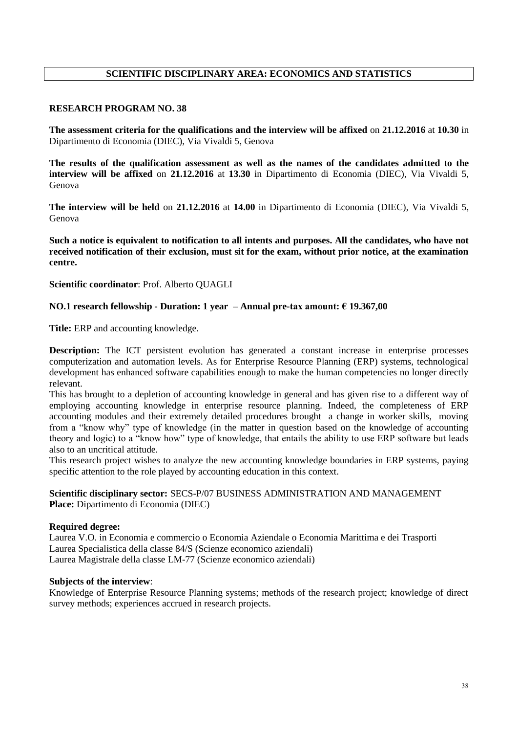# **SCIENTIFIC DISCIPLINARY AREA: ECONOMICS AND STATISTICS**

### **RESEARCH PROGRAM NO. 38**

**The assessment criteria for the qualifications and the interview will be affixed** on **21.12.2016** at **10.30** in Dipartimento di Economia (DIEC), Via Vivaldi 5, Genova

**The results of the qualification assessment as well as the names of the candidates admitted to the interview will be affixed** on **21.12.2016** at **13.30** in Dipartimento di Economia (DIEC), Via Vivaldi 5, Genova

**The interview will be held** on **21.12.2016** at **14.00** in Dipartimento di Economia (DIEC), Via Vivaldi 5, Genova

**Such a notice is equivalent to notification to all intents and purposes. All the candidates, who have not received notification of their exclusion, must sit for the exam, without prior notice, at the examination centre.**

**Scientific coordinator**: Prof. Alberto QUAGLI

### **NO.1 research fellowship - Duration: 1 year – Annual pre-tax amount: € 19.367,00**

**Title:** ERP and accounting knowledge.

**Description:** The ICT persistent evolution has generated a constant increase in enterprise processes computerization and automation levels. As for Enterprise Resource Planning (ERP) systems, technological development has enhanced software capabilities enough to make the human competencies no longer directly relevant.

This has brought to a depletion of accounting knowledge in general and has given rise to a different way of employing accounting knowledge in enterprise resource planning. Indeed, the completeness of ERP accounting modules and their extremely detailed procedures brought a change in worker skills, moving from a "know why" type of knowledge (in the matter in question based on the knowledge of accounting theory and logic) to a "know how" type of knowledge, that entails the ability to use ERP software but leads also to an uncritical attitude.

This research project wishes to analyze the new accounting knowledge boundaries in ERP systems, paying specific attention to the role played by accounting education in this context.

**Scientific disciplinary sector:** SECS-P/07 BUSINESS ADMINISTRATION AND MANAGEMENT **Place:** Dipartimento di Economia (DIEC)

### **Required degree:**

Laurea V.O. in Economia e commercio o Economia Aziendale o Economia Marittima e dei Trasporti Laurea Specialistica della classe 84/S (Scienze economico aziendali) Laurea Magistrale della classe LM-77 (Scienze economico aziendali)

### **Subjects of the interview**:

Knowledge of Enterprise Resource Planning systems; methods of the research project; knowledge of direct survey methods; experiences accrued in research projects.